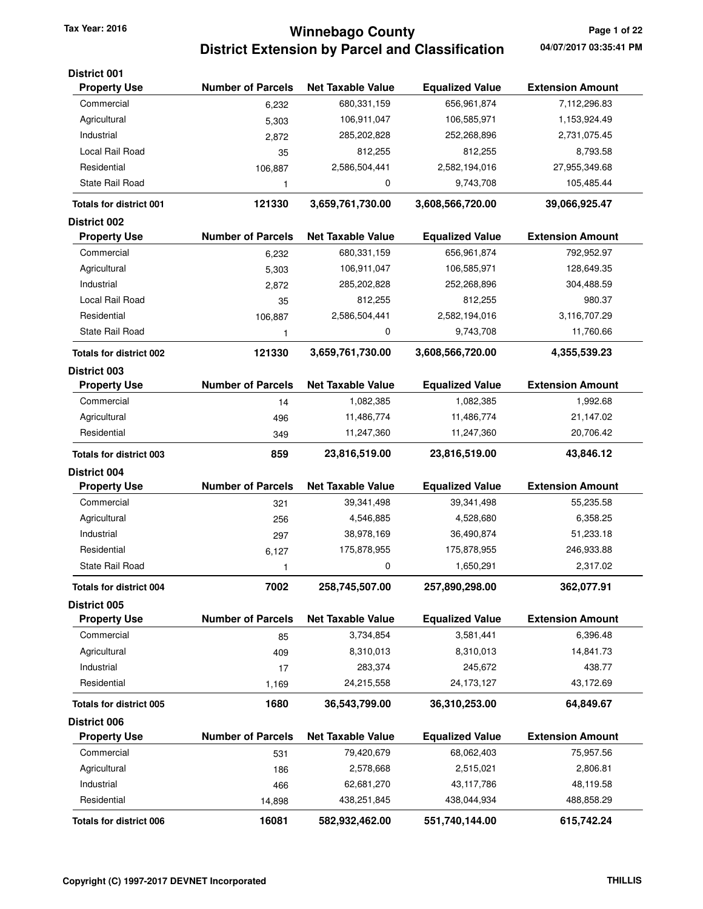### **Winnebago County Tax Year: 2016 Page 1 of 22 District Extension by Parcel and Classification**

| <b>District 001</b>            |                          |                          |                        |                         |
|--------------------------------|--------------------------|--------------------------|------------------------|-------------------------|
| <b>Property Use</b>            | <b>Number of Parcels</b> | <b>Net Taxable Value</b> | <b>Equalized Value</b> | <b>Extension Amount</b> |
| Commercial                     | 6,232                    | 680,331,159              | 656,961,874            | 7,112,296.83            |
| Agricultural                   | 5,303                    | 106,911,047              | 106,585,971            | 1,153,924.49            |
| Industrial                     | 2,872                    | 285,202,828              | 252,268,896            | 2,731,075.45            |
| Local Rail Road                | 35                       | 812,255                  | 812,255                | 8,793.58                |
| Residential                    | 106,887                  | 2,586,504,441            | 2,582,194,016          | 27,955,349.68           |
| State Rail Road                | 1                        | 0                        | 9,743,708              | 105,485.44              |
| <b>Totals for district 001</b> | 121330                   | 3,659,761,730.00         | 3,608,566,720.00       | 39,066,925.47           |
| <b>District 002</b>            |                          |                          |                        |                         |
| <b>Property Use</b>            | <b>Number of Parcels</b> | <b>Net Taxable Value</b> | <b>Equalized Value</b> | <b>Extension Amount</b> |
| Commercial                     | 6,232                    | 680,331,159              | 656,961,874            | 792,952.97              |
| Agricultural                   | 5,303                    | 106,911,047              | 106,585,971            | 128,649.35              |
| Industrial                     | 2,872                    | 285,202,828              | 252,268,896            | 304,488.59              |
| Local Rail Road                | 35                       | 812,255                  | 812,255                | 980.37                  |
| Residential                    | 106,887                  | 2,586,504,441            | 2,582,194,016          | 3,116,707.29            |
| State Rail Road                | 1                        | 0                        | 9,743,708              | 11,760.66               |
| <b>Totals for district 002</b> | 121330                   | 3,659,761,730.00         | 3,608,566,720.00       | 4,355,539.23            |
| <b>District 003</b>            | <b>Number of Parcels</b> |                          |                        | <b>Extension Amount</b> |
| <b>Property Use</b>            |                          | <b>Net Taxable Value</b> | <b>Equalized Value</b> |                         |
| Commercial                     | 14                       | 1,082,385                | 1,082,385              | 1,992.68                |
| Agricultural                   | 496                      | 11,486,774               | 11,486,774             | 21,147.02               |
| Residential                    | 349                      | 11,247,360               | 11,247,360             | 20,706.42               |
| <b>Totals for district 003</b> | 859                      | 23,816,519.00            | 23,816,519.00          | 43,846.12               |
| <b>District 004</b>            |                          |                          |                        |                         |
| <b>Property Use</b>            | <b>Number of Parcels</b> | <b>Net Taxable Value</b> | <b>Equalized Value</b> | <b>Extension Amount</b> |
| Commercial                     | 321                      | 39,341,498               | 39,341,498             | 55,235.58               |
| Agricultural                   | 256                      | 4,546,885                | 4,528,680              | 6,358.25                |
| Industrial                     | 297                      | 38,978,169               | 36,490,874             | 51,233.18               |
| Residential                    | 6,127                    | 175,878,955              | 175,878,955            | 246,933.88              |
| State Rail Road                | 1                        | 0                        | 1,650,291              | 2,317.02                |
| <b>Totals for district 004</b> | 7002                     | 258,745,507.00           | 257,890,298.00         | 362,077.91              |
| District 005                   |                          |                          |                        |                         |
| <b>Property Use</b>            | <b>Number of Parcels</b> | <b>Net Taxable Value</b> | <b>Equalized Value</b> | <b>Extension Amount</b> |
| Commercial                     | 85                       | 3,734,854                | 3,581,441              | 6,396.48                |
| Agricultural                   | 409                      | 8,310,013                | 8,310,013              | 14,841.73               |
| Industrial                     | 17                       | 283,374                  | 245,672                | 438.77                  |
| Residential                    | 1,169                    | 24,215,558               | 24, 173, 127           | 43,172.69               |
| <b>Totals for district 005</b> | 1680                     | 36,543,799.00            | 36,310,253.00          | 64,849.67               |
| District 006                   |                          |                          |                        |                         |
| <b>Property Use</b>            | <b>Number of Parcels</b> | <b>Net Taxable Value</b> | <b>Equalized Value</b> | <b>Extension Amount</b> |
| Commercial                     | 531                      | 79,420,679               | 68,062,403             | 75,957.56               |
| Agricultural                   | 186                      | 2,578,668                | 2,515,021              | 2,806.81                |
| Industrial                     | 466                      | 62,681,270               | 43, 117, 786           | 48,119.58               |
| Residential                    | 14,898                   | 438,251,845              | 438,044,934            | 488,858.29              |
| Totals for district 006        | 16081                    | 582,932,462.00           | 551,740,144.00         | 615,742.24              |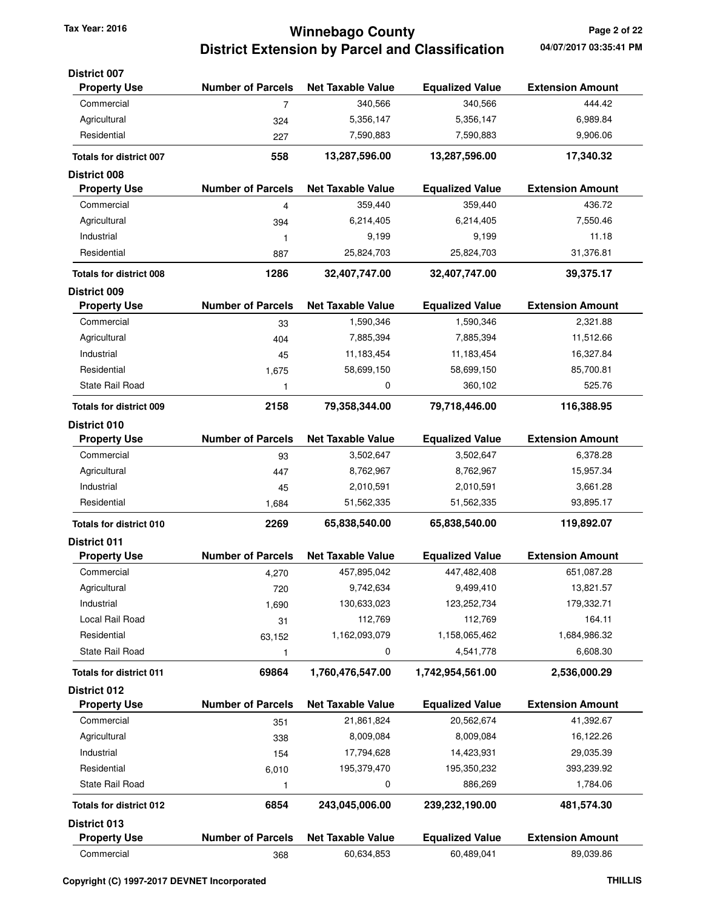## **Winnebago County Tax Year: 2016 Page 2 of 22 District Extension by Parcel and Classification**

| <b>District 007</b>                                   |                          |                          |                          |                         |
|-------------------------------------------------------|--------------------------|--------------------------|--------------------------|-------------------------|
| <b>Property Use</b>                                   | <b>Number of Parcels</b> | <b>Net Taxable Value</b> | <b>Equalized Value</b>   | <b>Extension Amount</b> |
| Commercial                                            | 7                        | 340,566                  | 340,566                  | 444.42                  |
| Agricultural                                          | 324                      | 5,356,147                | 5,356,147                | 6,989.84                |
| Residential                                           | 227                      | 7,590,883                | 7,590,883                | 9,906.06                |
| <b>Totals for district 007</b>                        | 558                      | 13,287,596.00            | 13,287,596.00            | 17,340.32               |
| <b>District 008</b>                                   |                          |                          |                          |                         |
| <b>Property Use</b>                                   | <b>Number of Parcels</b> | <b>Net Taxable Value</b> | <b>Equalized Value</b>   | <b>Extension Amount</b> |
| Commercial                                            | 4                        | 359,440                  | 359,440                  | 436.72                  |
| Agricultural                                          | 394                      | 6,214,405                | 6,214,405                | 7,550.46                |
| Industrial                                            | 1                        | 9,199                    | 9,199                    | 11.18                   |
| Residential                                           | 887                      | 25,824,703               | 25,824,703               | 31,376.81               |
| <b>Totals for district 008</b>                        | 1286                     | 32,407,747.00            | 32,407,747.00            | 39,375.17               |
| <b>District 009</b><br><b>Property Use</b>            | <b>Number of Parcels</b> | <b>Net Taxable Value</b> | <b>Equalized Value</b>   | <b>Extension Amount</b> |
| Commercial                                            |                          |                          |                          |                         |
| Agricultural                                          | 33                       | 1,590,346<br>7,885,394   | 1,590,346<br>7,885,394   | 2,321.88<br>11,512.66   |
|                                                       | 404                      |                          |                          |                         |
| Industrial<br>Residential                             | 45                       | 11,183,454               | 11,183,454<br>58,699,150 | 16,327.84<br>85,700.81  |
| State Rail Road                                       | 1,675                    | 58,699,150<br>0          | 360,102                  | 525.76                  |
|                                                       | 1                        |                          |                          |                         |
| <b>Totals for district 009</b><br><b>District 010</b> | 2158                     | 79,358,344.00            | 79,718,446.00            | 116,388.95              |
| <b>Property Use</b>                                   | <b>Number of Parcels</b> | <b>Net Taxable Value</b> | <b>Equalized Value</b>   | <b>Extension Amount</b> |
| Commercial                                            | 93                       | 3,502,647                | 3,502,647                | 6,378.28                |
| Agricultural                                          | 447                      | 8,762,967                | 8,762,967                | 15,957.34               |
| Industrial                                            | 45                       | 2,010,591                | 2,010,591                | 3,661.28                |
| Residential                                           | 1,684                    | 51,562,335               | 51,562,335               | 93,895.17               |
| <b>Totals for district 010</b>                        | 2269                     | 65,838,540.00            | 65,838,540.00            | 119,892.07              |
| <b>District 011</b>                                   |                          |                          |                          |                         |
| <b>Property Use</b>                                   | <b>Number of Parcels</b> | <b>Net Taxable Value</b> | <b>Equalized Value</b>   | <b>Extension Amount</b> |
| Commercial                                            | 4,270                    | 457,895,042              | 447,482,408              | 651,087.28              |
| Agricultural                                          | 720                      | 9,742,634                | 9,499,410                | 13,821.57               |
| Industrial                                            | 1,690                    | 130,633,023              | 123,252,734              | 179,332.71              |
| Local Rail Road                                       | 31                       | 112,769                  | 112,769                  | 164.11                  |
| Residential                                           | 63,152                   | 1,162,093,079            | 1,158,065,462            | 1,684,986.32            |
| State Rail Road                                       | 1                        | 0                        | 4,541,778                | 6,608.30                |
| <b>Totals for district 011</b>                        | 69864                    | 1,760,476,547.00         | 1,742,954,561.00         | 2,536,000.29            |
| <b>District 012</b>                                   |                          |                          |                          |                         |
| <b>Property Use</b>                                   | <b>Number of Parcels</b> | <b>Net Taxable Value</b> | <b>Equalized Value</b>   | <b>Extension Amount</b> |
| Commercial                                            | 351                      | 21,861,824               | 20,562,674               | 41,392.67               |
| Agricultural                                          | 338                      | 8,009,084                | 8,009,084                | 16,122.26               |
| Industrial                                            | 154                      | 17,794,628               | 14,423,931               | 29,035.39               |
| Residential                                           | 6,010                    | 195,379,470              | 195,350,232              | 393,239.92              |
| State Rail Road                                       | 1                        | 0                        | 886,269                  | 1,784.06                |
| <b>Totals for district 012</b>                        | 6854                     | 243,045,006.00           | 239,232,190.00           | 481,574.30              |
| District 013                                          |                          |                          |                          |                         |
| <b>Property Use</b>                                   | <b>Number of Parcels</b> | <b>Net Taxable Value</b> | <b>Equalized Value</b>   | <b>Extension Amount</b> |
| Commercial                                            | 368                      | 60,634,853               | 60,489,041               | 89,039.86               |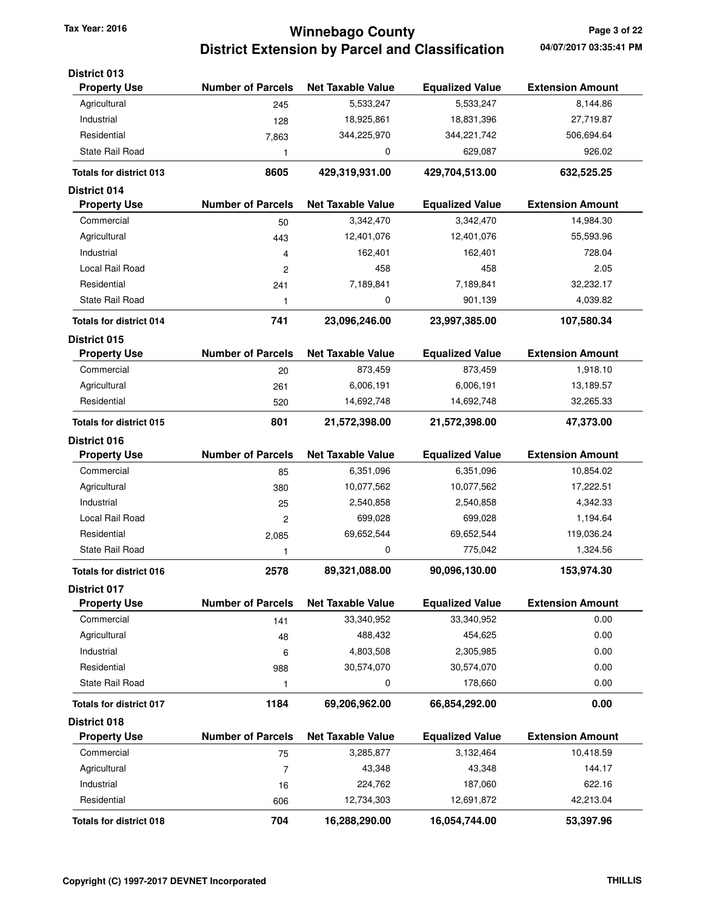## **Winnebago County Tax Year: 2016 Page 3 of 22 District Extension by Parcel and Classification 04/07/2017 03:35:41 PM**

| <b>District 013</b>            |                          |                          |                        |                         |
|--------------------------------|--------------------------|--------------------------|------------------------|-------------------------|
| <b>Property Use</b>            | <b>Number of Parcels</b> | <b>Net Taxable Value</b> | <b>Equalized Value</b> | <b>Extension Amount</b> |
| Agricultural                   | 245                      | 5,533,247                | 5,533,247              | 8,144.86                |
| Industrial                     | 128                      | 18,925,861               | 18,831,396             | 27,719.87               |
| Residential                    | 7,863                    | 344,225,970              | 344,221,742            | 506,694.64              |
| State Rail Road                | 1                        | 0                        | 629,087                | 926.02                  |
| <b>Totals for district 013</b> | 8605                     | 429,319,931.00           | 429,704,513.00         | 632,525.25              |
| <b>District 014</b>            |                          |                          |                        |                         |
| <b>Property Use</b>            | <b>Number of Parcels</b> | <b>Net Taxable Value</b> | <b>Equalized Value</b> | <b>Extension Amount</b> |
| Commercial                     | 50                       | 3,342,470                | 3,342,470              | 14,984.30               |
| Agricultural                   | 443                      | 12,401,076               | 12,401,076             | 55,593.96               |
| Industrial                     | 4                        | 162,401                  | 162,401                | 728.04                  |
| Local Rail Road                | 2                        | 458                      | 458                    | 2.05                    |
| Residential                    | 241                      | 7,189,841                | 7,189,841              | 32,232.17               |
| State Rail Road                | 1                        | 0                        | 901,139                | 4,039.82                |
| <b>Totals for district 014</b> | 741                      | 23,096,246.00            | 23,997,385.00          | 107,580.34              |
| <b>District 015</b>            |                          |                          |                        |                         |
| <b>Property Use</b>            | <b>Number of Parcels</b> | <b>Net Taxable Value</b> | <b>Equalized Value</b> | <b>Extension Amount</b> |
| Commercial                     | 20                       | 873,459                  | 873,459                | 1,918.10                |
| Agricultural                   | 261                      | 6,006,191                | 6,006,191              | 13,189.57               |
| Residential                    | 520                      | 14,692,748               | 14,692,748             | 32,265.33               |
| Totals for district 015        | 801                      | 21,572,398.00            | 21,572,398.00          | 47,373.00               |
| District 016                   |                          |                          |                        |                         |
| <b>Property Use</b>            | <b>Number of Parcels</b> | <b>Net Taxable Value</b> | <b>Equalized Value</b> | <b>Extension Amount</b> |
| Commercial                     | 85                       | 6,351,096                | 6,351,096              | 10,854.02               |
| Agricultural                   | 380                      | 10,077,562               | 10,077,562             | 17,222.51               |
| Industrial                     | 25                       | 2,540,858                | 2,540,858              | 4,342.33                |
| Local Rail Road                | 2                        | 699,028                  | 699,028                | 1,194.64                |
| Residential                    | 2,085                    | 69,652,544               | 69,652,544             | 119,036.24              |
| State Rail Road                | 1                        | 0                        | 775,042                | 1,324.56                |
| <b>Totals for district 016</b> | 2578                     | 89,321,088.00            | 90,096,130.00          | 153,974.30              |
| <b>District 017</b>            |                          |                          |                        |                         |
| <b>Property Use</b>            | <b>Number of Parcels</b> | <b>Net Taxable Value</b> | <b>Equalized Value</b> | <b>Extension Amount</b> |
| Commercial                     | 141                      | 33,340,952               | 33,340,952             | 0.00                    |
| Agricultural                   | 48                       | 488,432                  | 454,625                | 0.00                    |
| Industrial                     | 6                        | 4,803,508                | 2,305,985              | 0.00                    |
| Residential                    | 988                      | 30,574,070               | 30,574,070             | 0.00                    |
| <b>State Rail Road</b>         | 1                        | 0                        | 178,660                | 0.00                    |
| <b>Totals for district 017</b> | 1184                     | 69,206,962.00            | 66,854,292.00          | 0.00                    |
| <b>District 018</b>            |                          |                          |                        |                         |
| <b>Property Use</b>            | <b>Number of Parcels</b> | <b>Net Taxable Value</b> | <b>Equalized Value</b> | <b>Extension Amount</b> |
| Commercial                     | 75                       | 3,285,877                | 3,132,464              | 10,418.59               |
| Agricultural                   | $\overline{7}$           | 43,348                   | 43,348                 | 144.17                  |
| Industrial                     | 16                       | 224,762                  | 187,060                | 622.16                  |
| Residential                    | 606                      | 12,734,303               | 12,691,872             | 42,213.04               |
| <b>Totals for district 018</b> | 704                      | 16,288,290.00            | 16,054,744.00          | 53,397.96               |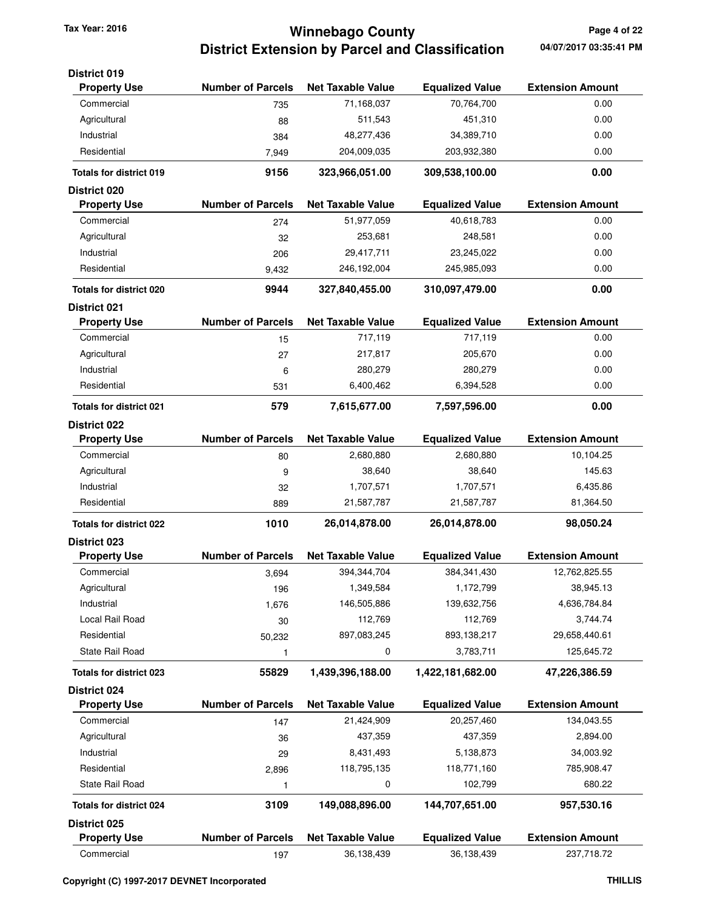## **Winnebago County Tax Year: 2016 Page 4 of 22 District Extension by Parcel and Classification**

| <b>District 019</b><br><b>Property Use</b> | <b>Number of Parcels</b> | <b>Net Taxable Value</b> | <b>Equalized Value</b> | <b>Extension Amount</b> |
|--------------------------------------------|--------------------------|--------------------------|------------------------|-------------------------|
| Commercial                                 | 735                      | 71,168,037               | 70,764,700             | 0.00                    |
| Agricultural                               | 88                       | 511,543                  | 451,310                | 0.00                    |
| Industrial                                 | 384                      | 48,277,436               | 34,389,710             | 0.00                    |
| Residential                                | 7,949                    | 204,009,035              | 203,932,380            | 0.00                    |
|                                            |                          |                          |                        | 0.00                    |
| <b>Totals for district 019</b>             | 9156                     | 323,966,051.00           | 309,538,100.00         |                         |
| District 020<br><b>Property Use</b>        | <b>Number of Parcels</b> | <b>Net Taxable Value</b> | <b>Equalized Value</b> | <b>Extension Amount</b> |
| Commercial                                 | 274                      | 51,977,059               | 40,618,783             | 0.00                    |
| Agricultural                               | 32                       | 253,681                  | 248,581                | 0.00                    |
| Industrial                                 | 206                      | 29,417,711               | 23,245,022             | 0.00                    |
| Residential                                | 9,432                    | 246,192,004              | 245,985,093            | 0.00                    |
| <b>Totals for district 020</b>             | 9944                     | 327,840,455.00           | 310,097,479.00         | 0.00                    |
| <b>District 021</b>                        |                          |                          |                        |                         |
| <b>Property Use</b>                        | <b>Number of Parcels</b> | <b>Net Taxable Value</b> | <b>Equalized Value</b> | <b>Extension Amount</b> |
| Commercial                                 | 15                       | 717,119                  | 717,119                | 0.00                    |
| Agricultural                               | 27                       | 217,817                  | 205,670                | 0.00                    |
| Industrial                                 | 6                        | 280,279                  | 280,279                | 0.00                    |
| Residential                                | 531                      | 6,400,462                | 6,394,528              | 0.00                    |
| <b>Totals for district 021</b>             | 579                      | 7,615,677.00             | 7,597,596.00           | 0.00                    |
| <b>District 022</b>                        |                          |                          |                        |                         |
| <b>Property Use</b>                        | <b>Number of Parcels</b> | <b>Net Taxable Value</b> | <b>Equalized Value</b> | <b>Extension Amount</b> |
| Commercial                                 | 80                       | 2,680,880                | 2,680,880              | 10,104.25               |
| Agricultural                               | 9                        | 38,640                   | 38,640                 | 145.63                  |
| Industrial                                 | 32                       | 1,707,571                | 1,707,571              | 6,435.86                |
| Residential                                | 889                      | 21,587,787               | 21,587,787             | 81,364.50               |
| <b>Totals for district 022</b>             | 1010                     | 26,014,878.00            | 26,014,878.00          | 98,050.24               |
| <b>District 023</b>                        |                          |                          |                        |                         |
| <b>Property Use</b>                        | <b>Number of Parcels</b> | <b>Net Taxable Value</b> | <b>Equalized Value</b> | <b>Extension Amount</b> |
| Commercial                                 | 3,694                    | 394,344,704              | 384, 341, 430          | 12,762,825.55           |
| Agricultural                               | 196                      | 1,349,584                | 1,172,799              | 38,945.13               |
| Industrial                                 | 1,676                    | 146,505,886              | 139,632,756            | 4,636,784.84            |
| Local Rail Road                            | 30                       | 112,769                  | 112,769                | 3,744.74                |
| Residential                                | 50,232                   | 897,083,245              | 893,138,217            | 29,658,440.61           |
| State Rail Road                            | 1                        | 0                        | 3,783,711              | 125,645.72              |
| <b>Totals for district 023</b>             | 55829                    | 1,439,396,188.00         | 1,422,181,682.00       | 47,226,386.59           |
| District 024                               |                          |                          |                        |                         |
| <b>Property Use</b>                        | <b>Number of Parcels</b> | <b>Net Taxable Value</b> | <b>Equalized Value</b> | <b>Extension Amount</b> |
| Commercial                                 | 147                      | 21,424,909               | 20,257,460             | 134,043.55              |
| Agricultural                               | 36                       | 437,359                  | 437,359                | 2,894.00                |
| Industrial                                 | 29                       | 8,431,493                | 5,138,873              | 34,003.92               |
| Residential                                | 2,896                    | 118,795,135              | 118,771,160            | 785,908.47              |
| State Rail Road                            | 1                        | 0                        | 102,799                | 680.22                  |
| <b>Totals for district 024</b>             | 3109                     | 149,088,896.00           | 144,707,651.00         | 957,530.16              |
| District 025                               |                          |                          |                        |                         |
| <b>Property Use</b>                        | <b>Number of Parcels</b> | <b>Net Taxable Value</b> | <b>Equalized Value</b> | <b>Extension Amount</b> |
| Commercial                                 | 197                      | 36,138,439               | 36,138,439             | 237,718.72              |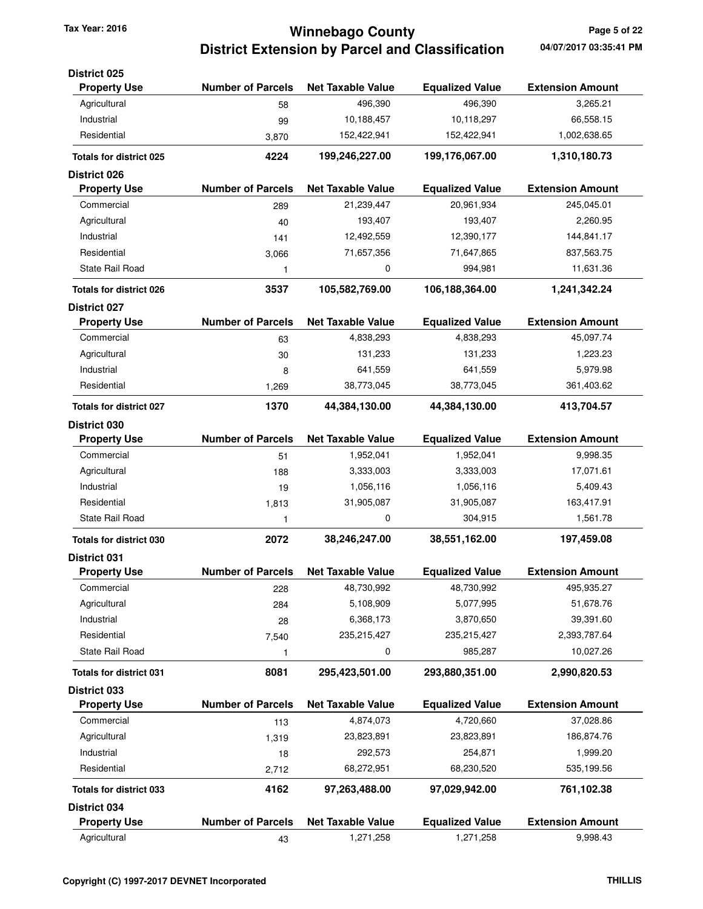## **Winnebago County Tax Year: 2016 Page 5 of 22 District Extension by Parcel and Classification**

| <b>District 025</b>            |                          |                          |                        |                         |
|--------------------------------|--------------------------|--------------------------|------------------------|-------------------------|
| <b>Property Use</b>            | <b>Number of Parcels</b> | <b>Net Taxable Value</b> | <b>Equalized Value</b> | <b>Extension Amount</b> |
| Agricultural                   | 58                       | 496,390                  | 496,390                | 3,265.21                |
| Industrial                     | 99                       | 10,188,457               | 10,118,297             | 66,558.15               |
| Residential                    | 3,870                    | 152,422,941              | 152,422,941            | 1,002,638.65            |
| <b>Totals for district 025</b> | 4224                     | 199,246,227.00           | 199,176,067.00         | 1,310,180.73            |
| <b>District 026</b>            |                          |                          |                        |                         |
| <b>Property Use</b>            | <b>Number of Parcels</b> | <b>Net Taxable Value</b> | <b>Equalized Value</b> | <b>Extension Amount</b> |
| Commercial                     | 289                      | 21,239,447               | 20,961,934             | 245,045.01              |
| Agricultural                   | 40                       | 193,407                  | 193,407                | 2,260.95                |
| Industrial                     | 141                      | 12,492,559               | 12,390,177             | 144,841.17              |
| Residential                    | 3,066                    | 71,657,356               | 71,647,865             | 837,563.75              |
| <b>State Rail Road</b>         | 1                        | 0                        | 994,981                | 11,631.36               |
| <b>Totals for district 026</b> | 3537                     | 105,582,769.00           | 106,188,364.00         | 1,241,342.24            |
| <b>District 027</b>            |                          |                          |                        |                         |
| <b>Property Use</b>            | <b>Number of Parcels</b> | <b>Net Taxable Value</b> | <b>Equalized Value</b> | <b>Extension Amount</b> |
| Commercial                     | 63                       | 4,838,293                | 4,838,293              | 45,097.74               |
| Agricultural                   | 30                       | 131,233                  | 131,233                | 1,223.23                |
| Industrial                     | 8                        | 641,559                  | 641,559                | 5,979.98                |
| Residential                    | 1,269                    | 38,773,045               | 38,773,045             | 361,403.62              |
| <b>Totals for district 027</b> | 1370                     | 44,384,130.00            | 44,384,130.00          | 413,704.57              |
| District 030                   |                          |                          |                        |                         |
| <b>Property Use</b>            | <b>Number of Parcels</b> | <b>Net Taxable Value</b> | <b>Equalized Value</b> | <b>Extension Amount</b> |
| Commercial                     | 51                       | 1,952,041                | 1,952,041              | 9,998.35                |
| Agricultural                   | 188                      | 3,333,003                | 3,333,003              | 17,071.61               |
| Industrial                     | 19                       | 1,056,116                | 1,056,116              | 5,409.43                |
| Residential                    | 1,813                    | 31,905,087               | 31,905,087             | 163,417.91              |
| <b>State Rail Road</b>         | 1                        | 0                        | 304,915                | 1,561.78                |
| <b>Totals for district 030</b> | 2072                     | 38,246,247.00            | 38,551,162.00          | 197,459.08              |
| <b>District 031</b>            |                          |                          |                        |                         |
| <b>Property Use</b>            | <b>Number of Parcels</b> | <b>Net Taxable Value</b> | <b>Equalized Value</b> | <b>Extension Amount</b> |
| Commercial                     | 228                      | 48,730,992               | 48,730,992             | 495,935.27              |
| Agricultural                   | 284                      | 5,108,909                | 5,077,995              | 51,678.76               |
| Industrial                     | 28                       | 6,368,173                | 3,870,650              | 39,391.60               |
| Residential                    | 7,540                    | 235,215,427              | 235,215,427            | 2,393,787.64            |
| State Rail Road                | 1                        | 0                        | 985,287                | 10,027.26               |
| <b>Totals for district 031</b> | 8081                     | 295,423,501.00           | 293,880,351.00         | 2,990,820.53            |
| District 033                   |                          |                          |                        |                         |
| <b>Property Use</b>            | <b>Number of Parcels</b> | <b>Net Taxable Value</b> | <b>Equalized Value</b> | <b>Extension Amount</b> |
| Commercial                     | 113                      | 4,874,073                | 4,720,660              | 37,028.86               |
| Agricultural                   | 1,319                    | 23,823,891               | 23,823,891             | 186,874.76              |
| Industrial                     | 18                       | 292,573                  | 254,871                | 1,999.20                |
| Residential                    | 2,712                    | 68,272,951               | 68,230,520             | 535,199.56              |
| Totals for district 033        | 4162                     | 97,263,488.00            | 97,029,942.00          | 761,102.38              |
| District 034                   |                          |                          |                        |                         |
| <b>Property Use</b>            | <b>Number of Parcels</b> | <b>Net Taxable Value</b> | <b>Equalized Value</b> | <b>Extension Amount</b> |
| Agricultural                   | 43                       | 1,271,258                | 1,271,258              | 9,998.43                |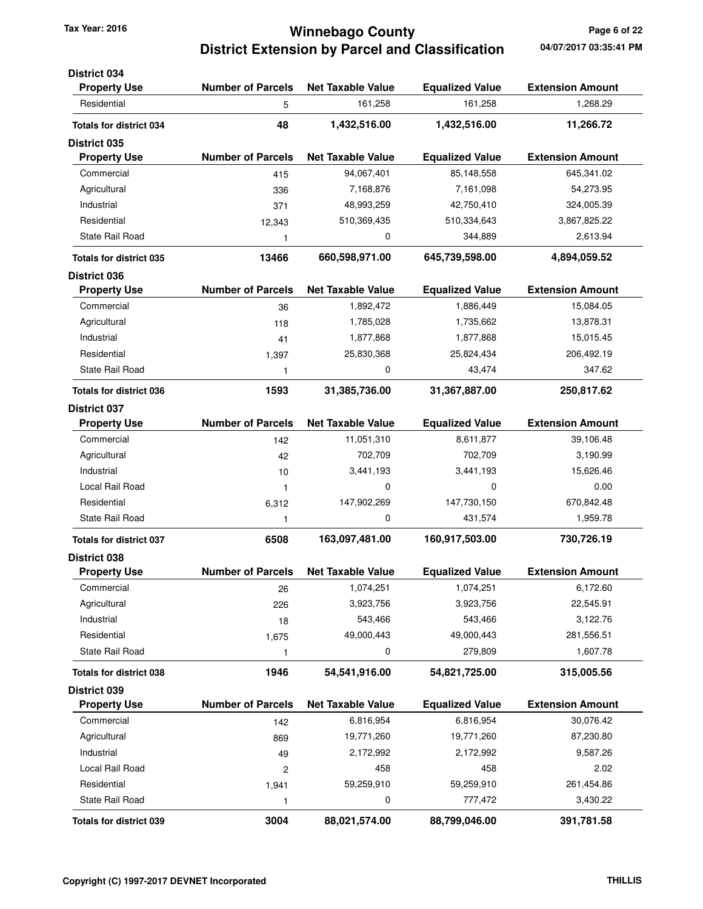## **Winnebago County Tax Year: 2016 Page 6 of 22 District Extension by Parcel and Classification**

| District 034<br><b>Property Use</b> | <b>Number of Parcels</b> | <b>Net Taxable Value</b> | <b>Equalized Value</b> | <b>Extension Amount</b> |
|-------------------------------------|--------------------------|--------------------------|------------------------|-------------------------|
| Residential                         | 5                        | 161,258                  | 161,258                | 1,268.29                |
|                                     |                          |                          |                        |                         |
| <b>Totals for district 034</b>      | 48                       | 1,432,516.00             | 1,432,516.00           | 11,266.72               |
| <b>District 035</b>                 |                          |                          |                        |                         |
| <b>Property Use</b>                 | <b>Number of Parcels</b> | <b>Net Taxable Value</b> | <b>Equalized Value</b> | <b>Extension Amount</b> |
| Commercial                          | 415                      | 94,067,401               | 85,148,558             | 645,341.02              |
| Agricultural                        | 336                      | 7,168,876                | 7,161,098              | 54,273.95               |
| Industrial                          | 371                      | 48,993,259               | 42,750,410             | 324,005.39              |
| Residential                         | 12,343                   | 510,369,435              | 510,334,643            | 3,867,825.22            |
| State Rail Road                     | 1                        | 0                        | 344,889                | 2,613.94                |
| <b>Totals for district 035</b>      | 13466                    | 660,598,971.00           | 645,739,598.00         | 4,894,059.52            |
| <b>District 036</b>                 |                          |                          |                        |                         |
| <b>Property Use</b>                 | <b>Number of Parcels</b> | <b>Net Taxable Value</b> | <b>Equalized Value</b> | <b>Extension Amount</b> |
| Commercial                          | 36                       | 1,892,472                | 1,886,449              | 15,084.05               |
| Agricultural                        | 118                      | 1,785,028                | 1,735,662              | 13,878.31               |
| Industrial                          | 41                       | 1,877,868                | 1,877,868              | 15,015.45               |
| Residential                         | 1,397                    | 25,830,368               | 25,824,434             | 206,492.19              |
| <b>State Rail Road</b>              | 1                        | 0                        | 43,474                 | 347.62                  |
| <b>Totals for district 036</b>      | 1593                     | 31,385,736.00            | 31,367,887.00          | 250,817.62              |
| <b>District 037</b>                 |                          |                          |                        |                         |
| <b>Property Use</b>                 | <b>Number of Parcels</b> | <b>Net Taxable Value</b> | <b>Equalized Value</b> | <b>Extension Amount</b> |
| Commercial                          | 142                      | 11,051,310               | 8,611,877              | 39,106.48               |
| Agricultural                        | 42                       | 702,709                  | 702,709                | 3,190.99                |
| Industrial                          | 10                       | 3,441,193                | 3,441,193              | 15,626.46               |
| Local Rail Road                     | $\mathbf{1}$             | 0                        | $\mathbf 0$            | 0.00                    |
| Residential                         | 6,312                    | 147,902,269              | 147,730,150            | 670,842.48              |
| <b>State Rail Road</b>              | 1                        | 0                        | 431,574                | 1,959.78                |
| <b>Totals for district 037</b>      | 6508                     | 163,097,481.00           | 160,917,503.00         | 730,726.19              |
| District 038                        |                          |                          |                        |                         |
| <b>Property Use</b>                 | <b>Number of Parcels</b> | <b>Net Taxable Value</b> | <b>Equalized Value</b> | <b>Extension Amount</b> |
| Commercial                          | 26                       | 1,074,251                | 1,074,251              | 6,172.60                |
| Agricultural                        | 226                      | 3,923,756                | 3,923,756              | 22,545.91               |
| Industrial                          | 18                       | 543,466                  | 543,466                | 3,122.76                |
| Residential                         | 1,675                    | 49,000,443               | 49,000,443             | 281,556.51              |
| <b>State Rail Road</b>              | 1                        | 0                        | 279,809                | 1,607.78                |
| <b>Totals for district 038</b>      | 1946                     | 54,541,916.00            | 54,821,725.00          | 315,005.56              |
| District 039                        |                          |                          |                        |                         |
| <b>Property Use</b>                 | <b>Number of Parcels</b> | <b>Net Taxable Value</b> | <b>Equalized Value</b> | <b>Extension Amount</b> |
| Commercial                          | 142                      | 6,816,954                | 6,816,954              | 30,076.42               |
| Agricultural                        | 869                      | 19,771,260               | 19,771,260             | 87,230.80               |
| Industrial                          | 49                       | 2,172,992                | 2,172,992              | 9,587.26                |
| Local Rail Road                     | $\overline{\mathbf{c}}$  | 458                      | 458                    | 2.02                    |
| Residential                         | 1,941                    | 59,259,910               | 59,259,910             | 261,454.86              |
| State Rail Road                     | 1                        | 0                        | 777,472                | 3,430.22                |
| <b>Totals for district 039</b>      | 3004                     | 88,021,574.00            | 88,799,046.00          | 391,781.58              |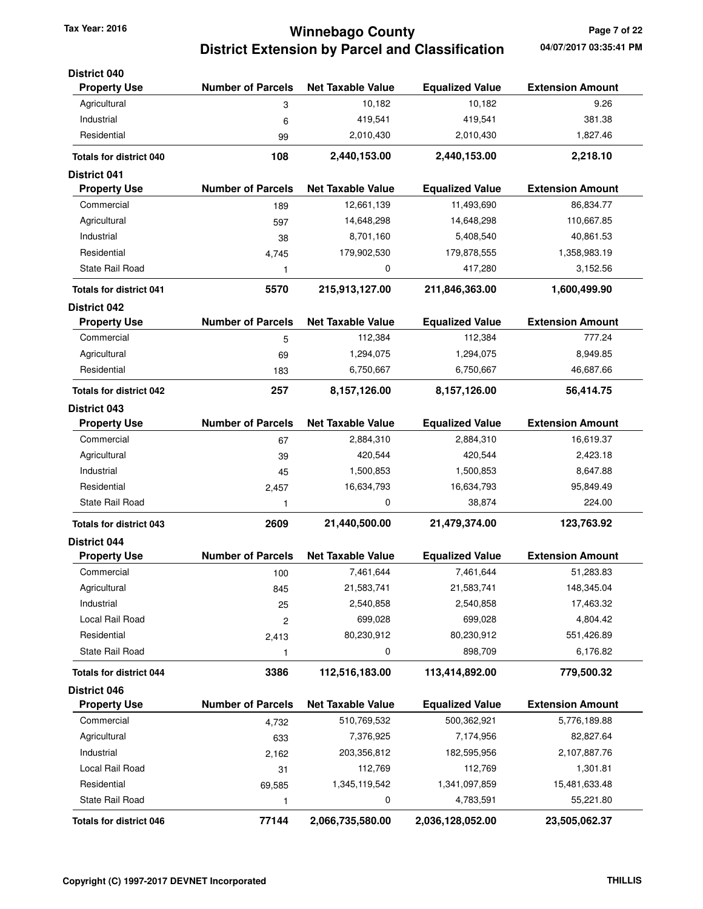## **Winnebago County Tax Year: 2016 Page 7 of 22 District Extension by Parcel and Classification**

| <b>District 040</b>            |                          |                          |                        |                         |
|--------------------------------|--------------------------|--------------------------|------------------------|-------------------------|
| <b>Property Use</b>            | <b>Number of Parcels</b> | <b>Net Taxable Value</b> | <b>Equalized Value</b> | <b>Extension Amount</b> |
| Agricultural                   | 3                        | 10,182                   | 10,182                 | 9.26                    |
| Industrial                     | 6                        | 419,541                  | 419,541                | 381.38                  |
| Residential                    | 99                       | 2,010,430                | 2,010,430              | 1,827.46                |
| <b>Totals for district 040</b> | 108                      | 2,440,153.00             | 2,440,153.00           | 2,218.10                |
| <b>District 041</b>            |                          |                          |                        |                         |
| <b>Property Use</b>            | <b>Number of Parcels</b> | <b>Net Taxable Value</b> | <b>Equalized Value</b> | <b>Extension Amount</b> |
| Commercial                     | 189                      | 12,661,139               | 11,493,690             | 86,834.77               |
| Agricultural                   | 597                      | 14,648,298               | 14,648,298             | 110,667.85              |
| Industrial                     | 38                       | 8,701,160                | 5,408,540              | 40,861.53               |
| Residential                    | 4,745                    | 179,902,530              | 179,878,555            | 1,358,983.19            |
| State Rail Road                | 1                        | 0                        | 417,280                | 3,152.56                |
| <b>Totals for district 041</b> | 5570                     | 215,913,127.00           | 211,846,363.00         | 1,600,499.90            |
| <b>District 042</b>            |                          |                          |                        |                         |
| <b>Property Use</b>            | <b>Number of Parcels</b> | <b>Net Taxable Value</b> | <b>Equalized Value</b> | <b>Extension Amount</b> |
| Commercial                     | 5                        | 112,384                  | 112,384                | 777.24                  |
| Agricultural                   | 69                       | 1,294,075                | 1,294,075              | 8,949.85                |
| Residential                    | 183                      | 6,750,667                | 6,750,667              | 46,687.66               |
| <b>Totals for district 042</b> | 257                      | 8,157,126.00             | 8,157,126.00           | 56,414.75               |
| <b>District 043</b>            |                          |                          |                        |                         |
| <b>Property Use</b>            | <b>Number of Parcels</b> | <b>Net Taxable Value</b> | <b>Equalized Value</b> | <b>Extension Amount</b> |
| Commercial                     | 67                       | 2,884,310                | 2,884,310              | 16,619.37               |
| Agricultural                   | 39                       | 420,544                  | 420,544                | 2,423.18                |
| Industrial                     | 45                       | 1,500,853                | 1,500,853              | 8,647.88                |
| Residential                    | 2,457                    | 16,634,793               | 16,634,793             | 95,849.49               |
| State Rail Road                | 1                        | 0                        | 38,874                 | 224.00                  |
| <b>Totals for district 043</b> | 2609                     | 21,440,500.00            | 21,479,374.00          | 123,763.92              |
| <b>District 044</b>            |                          |                          |                        |                         |
| <b>Property Use</b>            | <b>Number of Parcels</b> | <b>Net Taxable Value</b> | <b>Equalized Value</b> | <b>Extension Amount</b> |
| Commercial                     | 100                      | 7,461,644                | 7,461,644              | 51,283.83               |
| Agricultural                   | 845                      | 21,583,741               | 21,583,741             | 148,345.04              |
| Industrial                     | 25                       | 2,540,858                | 2,540,858              | 17,463.32               |
| Local Rail Road                | $\overline{c}$           | 699,028                  | 699,028                | 4,804.42                |
| Residential                    | 2,413                    | 80,230,912               | 80,230,912             | 551,426.89              |
| State Rail Road                | 1                        | 0                        | 898,709                | 6,176.82                |
| <b>Totals for district 044</b> | 3386                     | 112,516,183.00           | 113,414,892.00         | 779,500.32              |
| <b>District 046</b>            |                          |                          |                        |                         |
| <b>Property Use</b>            | <b>Number of Parcels</b> | <b>Net Taxable Value</b> | <b>Equalized Value</b> | <b>Extension Amount</b> |
| Commercial                     | 4,732                    | 510,769,532              | 500,362,921            | 5,776,189.88            |
| Agricultural                   | 633                      | 7,376,925                | 7,174,956              | 82,827.64               |
| Industrial                     | 2,162                    | 203,356,812              | 182,595,956            | 2,107,887.76            |
| Local Rail Road                | 31                       | 112,769                  | 112,769                | 1,301.81                |
| Residential                    | 69,585                   | 1,345,119,542            | 1,341,097,859          | 15,481,633.48           |
| State Rail Road                | 1                        | 0                        | 4,783,591              | 55,221.80               |
| <b>Totals for district 046</b> | 77144                    | 2,066,735,580.00         | 2,036,128,052.00       | 23,505,062.37           |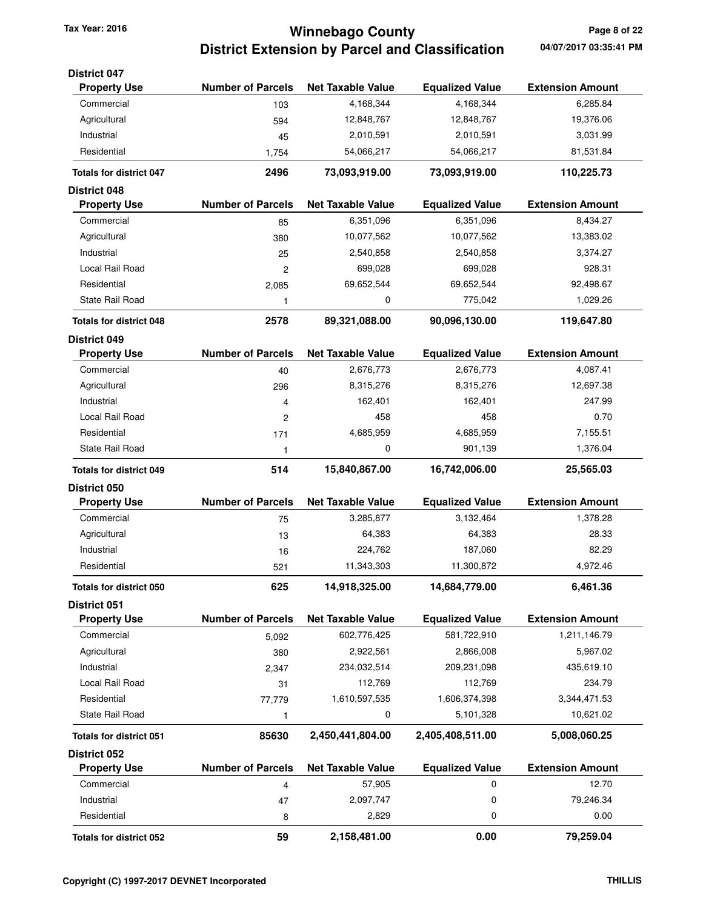**District 047**

# **Winnebago County Tax Year: 2016 Page 8 of 22 District Extension by Parcel and Classification 04/07/2017 03:35:41 PM**

| <b>Property Use</b>            | <b>Number of Parcels</b> | <b>Net Taxable Value</b> | <b>Equalized Value</b> | <b>Extension Amount</b> |
|--------------------------------|--------------------------|--------------------------|------------------------|-------------------------|
| Commercial                     | 103                      | 4,168,344                | 4,168,344              | 6,285.84                |
| Agricultural                   | 594                      | 12,848,767               | 12,848,767             | 19,376.06               |
| Industrial                     | 45                       | 2,010,591                | 2,010,591              | 3,031.99                |
| Residential                    | 1,754                    | 54,066,217               | 54,066,217             | 81,531.84               |
| <b>Totals for district 047</b> | 2496                     | 73,093,919.00            | 73,093,919.00          | 110,225.73              |
| <b>District 048</b>            |                          |                          |                        |                         |
| <b>Property Use</b>            | <b>Number of Parcels</b> | <b>Net Taxable Value</b> | <b>Equalized Value</b> | <b>Extension Amount</b> |
| Commercial                     | 85                       | 6,351,096                | 6,351,096              | 8,434.27                |
| Agricultural                   | 380                      | 10,077,562               | 10,077,562             | 13,383.02               |
| Industrial                     | 25                       | 2,540,858                | 2,540,858              | 3,374.27                |
| Local Rail Road                | $\overline{c}$           | 699,028                  | 699,028                | 928.31                  |
| Residential                    | 2,085                    | 69,652,544               | 69,652,544             | 92,498.67               |
| State Rail Road                | $\mathbf{1}$             | 0                        | 775,042                | 1,029.26                |
| <b>Totals for district 048</b> | 2578                     | 89,321,088.00            | 90,096,130.00          | 119,647.80              |
| <b>District 049</b>            |                          |                          |                        |                         |
| <b>Property Use</b>            | <b>Number of Parcels</b> | <b>Net Taxable Value</b> | <b>Equalized Value</b> | <b>Extension Amount</b> |
| Commercial                     | 40                       | 2,676,773                | 2,676,773              | 4,087.41                |
| Agricultural                   | 296                      | 8,315,276                | 8,315,276              | 12,697.38               |
| Industrial                     | 4                        | 162,401                  | 162,401                | 247.99                  |
| Local Rail Road                | $\overline{c}$           | 458                      | 458                    | 0.70                    |
| Residential                    | 171                      | 4,685,959                | 4,685,959              | 7,155.51                |
| <b>State Rail Road</b>         | 1                        | 0                        | 901,139                | 1,376.04                |
|                                |                          |                          |                        |                         |
| <b>Totals for district 049</b> | 514                      | 15,840,867.00            | 16,742,006.00          | 25,565.03               |
| District 050                   |                          |                          |                        |                         |
| <b>Property Use</b>            | <b>Number of Parcels</b> | <b>Net Taxable Value</b> | <b>Equalized Value</b> | <b>Extension Amount</b> |
| Commercial                     | 75                       | 3,285,877                | 3,132,464              | 1,378.28                |
| Agricultural                   | 13                       | 64,383                   | 64,383                 | 28.33                   |
| Industrial                     | 16                       | 224,762                  | 187,060                | 82.29                   |
| Residential                    | 521                      | 11,343,303               | 11,300,872             | 4,972.46                |
| <b>Totals for district 050</b> | 625                      | 14,918,325.00            | 14,684,779.00          | 6,461.36                |
| <b>District 051</b>            |                          |                          |                        |                         |
| <b>Property Use</b>            | <b>Number of Parcels</b> | <b>Net Taxable Value</b> | <b>Equalized Value</b> | <b>Extension Amount</b> |
| Commercial                     | 5,092                    | 602,776,425              | 581,722,910            | 1,211,146.79            |
| Agricultural                   | 380                      | 2,922,561                | 2,866,008              | 5,967.02                |
| Industrial                     | 2,347                    | 234,032,514              | 209,231,098            | 435,619.10              |
| Local Rail Road                | 31                       | 112,769                  | 112,769                | 234.79                  |
| Residential                    | 77,779                   | 1,610,597,535            | 1,606,374,398          | 3,344,471.53            |
| <b>State Rail Road</b>         | 1                        | 0                        | 5,101,328              | 10,621.02               |
| <b>Totals for district 051</b> | 85630                    | 2,450,441,804.00         | 2,405,408,511.00       | 5,008,060.25            |
| <b>District 052</b>            |                          |                          |                        |                         |
| <b>Property Use</b>            | <b>Number of Parcels</b> | <b>Net Taxable Value</b> | <b>Equalized Value</b> | <b>Extension Amount</b> |
| Commercial                     | 4                        | 57,905                   | 0                      | 12.70                   |
| Industrial                     | 47                       | 2,097,747                | 0                      | 79,246.34               |
| Residential                    | 8                        | 2,829                    | 0                      | 0.00                    |
| <b>Totals for district 052</b> | 59                       | 2,158,481.00             | 0.00                   | 79,259.04               |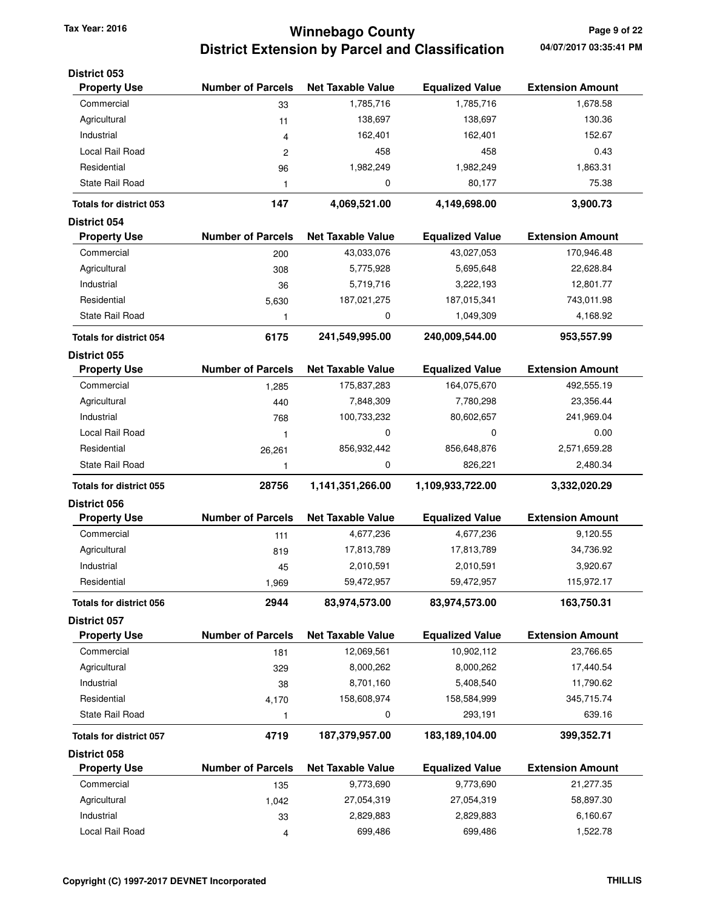# **Winnebago County Tax Year: 2016 Page 9 of 22 District Extension by Parcel and Classification**

| <b>District 053</b><br><b>Property Use</b> | <b>Number of Parcels</b> | <b>Net Taxable Value</b> | <b>Equalized Value</b> | <b>Extension Amount</b> |
|--------------------------------------------|--------------------------|--------------------------|------------------------|-------------------------|
| Commercial                                 | 33                       | 1,785,716                | 1,785,716              | 1,678.58                |
| Agricultural                               | 11                       | 138,697                  | 138,697                | 130.36                  |
| Industrial                                 | 4                        | 162,401                  | 162,401                | 152.67                  |
| Local Rail Road                            | 2                        | 458                      | 458                    | 0.43                    |
| Residential                                | 96                       | 1,982,249                | 1,982,249              | 1,863.31                |
| <b>State Rail Road</b>                     | 1                        | 0                        | 80,177                 | 75.38                   |
|                                            |                          |                          |                        |                         |
| <b>Totals for district 053</b>             | 147                      | 4,069,521.00             | 4,149,698.00           | 3,900.73                |
| District 054<br><b>Property Use</b>        | <b>Number of Parcels</b> | <b>Net Taxable Value</b> | <b>Equalized Value</b> | <b>Extension Amount</b> |
| Commercial                                 | 200                      | 43,033,076               | 43,027,053             | 170,946.48              |
| Agricultural                               |                          | 5,775,928                | 5,695,648              | 22,628.84               |
| Industrial                                 | 308                      |                          | 3,222,193              |                         |
|                                            | 36                       | 5,719,716                |                        | 12,801.77               |
| Residential                                | 5,630                    | 187,021,275              | 187,015,341            | 743,011.98              |
| State Rail Road                            | 1                        | 0                        | 1,049,309              | 4,168.92                |
| <b>Totals for district 054</b>             | 6175                     | 241,549,995.00           | 240,009,544.00         | 953,557.99              |
| <b>District 055</b>                        |                          |                          |                        |                         |
| <b>Property Use</b>                        | <b>Number of Parcels</b> | <b>Net Taxable Value</b> | <b>Equalized Value</b> | <b>Extension Amount</b> |
| Commercial                                 | 1,285                    | 175,837,283              | 164,075,670            | 492,555.19              |
| Agricultural                               | 440                      | 7,848,309                | 7,780,298              | 23,356.44               |
| Industrial                                 | 768                      | 100,733,232              | 80,602,657             | 241,969.04              |
| Local Rail Road                            | 1                        | $\mathbf 0$              | $\mathbf 0$            | 0.00                    |
| Residential                                | 26,261                   | 856,932,442              | 856,648,876            | 2,571,659.28            |
| State Rail Road                            | 1                        | 0                        | 826,221                | 2,480.34                |
| <b>Totals for district 055</b>             | 28756                    | 1,141,351,266.00         | 1,109,933,722.00       | 3,332,020.29            |
| District 056                               |                          |                          |                        |                         |
| <b>Property Use</b>                        | <b>Number of Parcels</b> | <b>Net Taxable Value</b> | <b>Equalized Value</b> | <b>Extension Amount</b> |
| Commercial                                 | 111                      | 4,677,236                | 4,677,236              | 9,120.55                |
| Agricultural                               | 819                      | 17,813,789               | 17,813,789             | 34,736.92               |
| Industrial                                 | 45                       | 2,010,591                | 2,010,591              | 3,920.67                |
| Residential                                | 1,969                    | 59,472,957               | 59,472,957             | 115,972.17              |
| <b>Totals for district 056</b>             | 2944                     | 83,974,573.00            | 83,974,573.00          | 163,750.31              |
| District 057                               |                          |                          |                        |                         |
| <b>Property Use</b>                        | <b>Number of Parcels</b> | <b>Net Taxable Value</b> | <b>Equalized Value</b> | <b>Extension Amount</b> |
| Commercial                                 | 181                      | 12,069,561               | 10,902,112             | 23,766.65               |
| Agricultural                               | 329                      | 8,000,262                | 8,000,262              | 17,440.54               |
| Industrial                                 | 38                       | 8,701,160                | 5,408,540              | 11,790.62               |
| Residential                                | 4,170                    | 158,608,974              | 158,584,999            | 345,715.74              |
| State Rail Road                            | 1                        | 0                        | 293,191                | 639.16                  |
| <b>Totals for district 057</b>             | 4719                     | 187,379,957.00           | 183,189,104.00         | 399,352.71              |
| <b>District 058</b>                        |                          |                          |                        |                         |
| <b>Property Use</b>                        | <b>Number of Parcels</b> | <b>Net Taxable Value</b> | <b>Equalized Value</b> | <b>Extension Amount</b> |
| Commercial                                 | 135                      | 9,773,690                | 9,773,690              | 21,277.35               |
| Agricultural                               | 1,042                    | 27,054,319               | 27,054,319             | 58,897.30               |
| Industrial                                 | 33                       | 2,829,883                | 2,829,883              | 6,160.67                |
| Local Rail Road                            | 4                        | 699,486                  | 699,486                | 1,522.78                |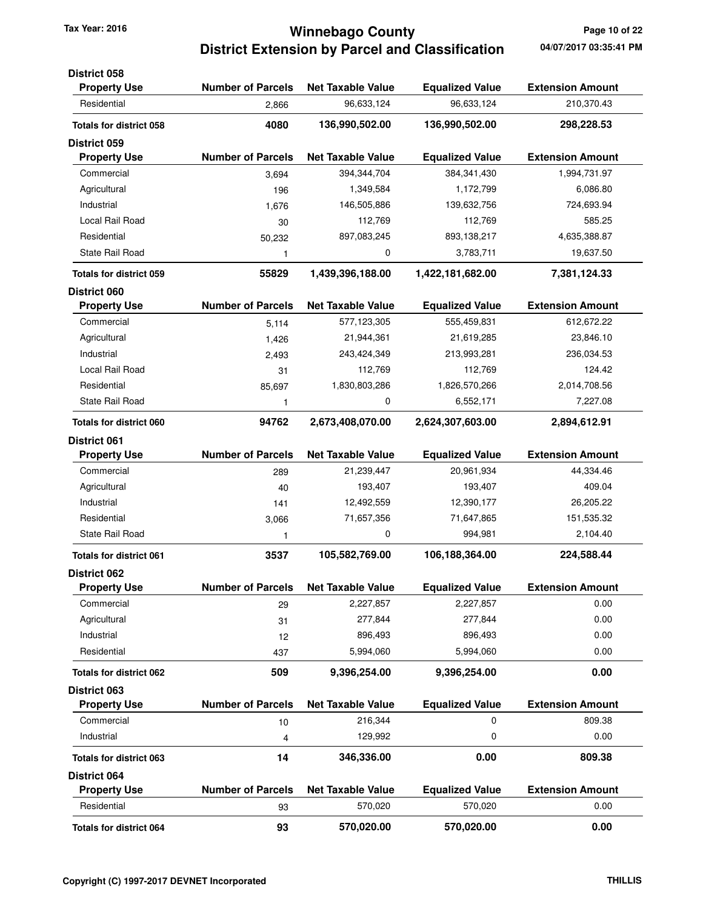## **Winnebago County Tax Year: 2016 Page 10 of 22 District Extension by Parcel and Classification**

| District 058                   |                          |                          |                        |                         |
|--------------------------------|--------------------------|--------------------------|------------------------|-------------------------|
| <b>Property Use</b>            | <b>Number of Parcels</b> | <b>Net Taxable Value</b> | <b>Equalized Value</b> | <b>Extension Amount</b> |
| Residential                    | 2.866                    | 96,633,124               | 96,633,124             | 210,370.43              |
| <b>Totals for district 058</b> | 4080                     | 136,990,502.00           | 136,990,502.00         | 298,228.53              |
| District 059                   |                          |                          |                        |                         |
| <b>Property Use</b>            | <b>Number of Parcels</b> | <b>Net Taxable Value</b> | <b>Equalized Value</b> | <b>Extension Amount</b> |
| Commercial                     | 3,694                    | 394,344,704              | 384,341,430            | 1,994,731.97            |
| Agricultural                   | 196                      | 1,349,584                | 1,172,799              | 6,086.80                |
| Industrial                     | 1,676                    | 146,505,886              | 139,632,756            | 724,693.94              |
| Local Rail Road                | 30                       | 112,769                  | 112,769                | 585.25                  |
| Residential                    | 50,232                   | 897,083,245              | 893,138,217            | 4,635,388.87            |
| <b>State Rail Road</b>         | 1                        | 0                        | 3,783,711              | 19,637.50               |
| <b>Totals for district 059</b> | 55829                    | 1,439,396,188.00         | 1,422,181,682.00       | 7,381,124.33            |
| <b>District 060</b>            |                          |                          |                        |                         |
| <b>Property Use</b>            | <b>Number of Parcels</b> | <b>Net Taxable Value</b> | <b>Equalized Value</b> | <b>Extension Amount</b> |
| Commercial                     | 5,114                    | 577,123,305              | 555,459,831            | 612,672.22              |
| Agricultural                   | 1,426                    | 21,944,361               | 21,619,285             | 23,846.10               |
| Industrial                     | 2,493                    | 243,424,349              | 213,993,281            | 236,034.53              |
| Local Rail Road                | 31                       | 112,769                  | 112,769                | 124.42                  |
| Residential                    | 85,697                   | 1,830,803,286            | 1,826,570,266          | 2,014,708.56            |
| <b>State Rail Road</b>         | 1                        | 0                        | 6,552,171              | 7,227.08                |
| <b>Totals for district 060</b> | 94762                    | 2,673,408,070.00         | 2,624,307,603.00       | 2,894,612.91            |
| <b>District 061</b>            |                          |                          |                        |                         |
| <b>Property Use</b>            | <b>Number of Parcels</b> | <b>Net Taxable Value</b> | <b>Equalized Value</b> | <b>Extension Amount</b> |
| Commercial                     | 289                      | 21,239,447               | 20,961,934             | 44,334.46               |
| Agricultural                   | 40                       | 193,407                  | 193,407                | 409.04                  |
| Industrial                     | 141                      | 12,492,559               | 12,390,177             | 26,205.22               |
| Residential                    | 3,066                    | 71,657,356               | 71,647,865             | 151,535.32              |
| <b>State Rail Road</b>         | 1                        | 0                        | 994,981                | 2,104.40                |
| <b>Totals for district 061</b> | 3537                     | 105,582,769.00           | 106,188,364.00         | 224,588.44              |
| <b>District 062</b>            |                          |                          |                        |                         |
| <b>Property Use</b>            | <b>Number of Parcels</b> | Net Taxable Value        | <b>Equalized Value</b> | <b>Extension Amount</b> |
| Commercial                     | 29                       | 2,227,857                | 2,227,857              | 0.00                    |
| Agricultural                   | 31                       | 277,844                  | 277,844                | 0.00                    |
| Industrial                     | 12                       | 896,493                  | 896,493                | 0.00                    |
| Residential                    | 437                      | 5,994,060                | 5,994,060              | 0.00                    |
| Totals for district 062        | 509                      | 9,396,254.00             | 9,396,254.00           | 0.00                    |
| District 063                   |                          |                          |                        |                         |
| <b>Property Use</b>            | <b>Number of Parcels</b> | <b>Net Taxable Value</b> | <b>Equalized Value</b> | <b>Extension Amount</b> |
| Commercial                     | 10                       | 216,344                  | 0                      | 809.38                  |
| Industrial                     | 4                        | 129,992                  | 0                      | 0.00                    |
| <b>Totals for district 063</b> | 14                       | 346,336.00               | 0.00                   | 809.38                  |
| District 064                   |                          |                          |                        |                         |
| <b>Property Use</b>            | <b>Number of Parcels</b> | <b>Net Taxable Value</b> | <b>Equalized Value</b> | <b>Extension Amount</b> |
| Residential                    | 93                       | 570,020                  | 570,020                | 0.00                    |
| Totals for district 064        | 93                       | 570,020.00               | 570,020.00             | 0.00                    |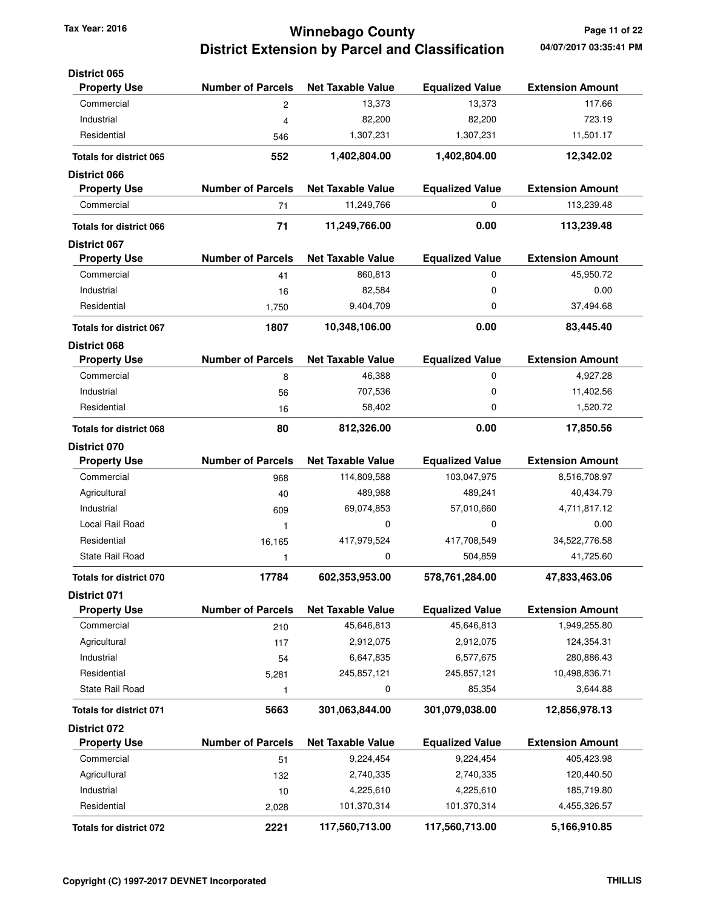# **Winnebago County Tax Year: 2016 Page 11 of 22 District Extension by Parcel and Classification 04/07/2017 03:35:41 PM**

| <b>District 065</b>            |                          |                          |                        |                         |
|--------------------------------|--------------------------|--------------------------|------------------------|-------------------------|
| <b>Property Use</b>            | <b>Number of Parcels</b> | <b>Net Taxable Value</b> | <b>Equalized Value</b> | <b>Extension Amount</b> |
| Commercial                     | 2                        | 13,373                   | 13,373                 | 117.66                  |
| Industrial                     | 4                        | 82,200                   | 82,200                 | 723.19                  |
| Residential                    | 546                      | 1,307,231                | 1,307,231              | 11,501.17               |
| <b>Totals for district 065</b> | 552                      | 1,402,804.00             | 1,402,804.00           | 12,342.02               |
| <b>District 066</b>            |                          |                          |                        |                         |
| <b>Property Use</b>            | <b>Number of Parcels</b> | <b>Net Taxable Value</b> | <b>Equalized Value</b> | <b>Extension Amount</b> |
| Commercial                     | 71                       | 11,249,766               | 0                      | 113,239.48              |
| <b>Totals for district 066</b> | 71                       | 11,249,766.00            | 0.00                   | 113,239.48              |
| District 067                   |                          |                          |                        |                         |
| <b>Property Use</b>            | <b>Number of Parcels</b> | <b>Net Taxable Value</b> | <b>Equalized Value</b> | <b>Extension Amount</b> |
| Commercial                     | 41                       | 860,813                  | 0                      | 45,950.72               |
| Industrial                     | 16                       | 82,584                   | 0                      | 0.00                    |
| Residential                    | 1,750                    | 9,404,709                | 0                      | 37,494.68               |
| <b>Totals for district 067</b> | 1807                     | 10,348,106.00            | 0.00                   | 83,445.40               |
| District 068                   |                          |                          |                        |                         |
| <b>Property Use</b>            | <b>Number of Parcels</b> | <b>Net Taxable Value</b> | <b>Equalized Value</b> | <b>Extension Amount</b> |
| Commercial                     | 8                        | 46,388                   | 0                      | 4,927.28                |
| Industrial                     | 56                       | 707,536                  | 0                      | 11,402.56               |
| Residential                    | 16                       | 58,402                   | 0                      | 1,520.72                |
| <b>Totals for district 068</b> | 80                       | 812,326.00               | 0.00                   | 17,850.56               |
| <b>District 070</b>            |                          |                          |                        |                         |
| <b>Property Use</b>            | <b>Number of Parcels</b> | <b>Net Taxable Value</b> | <b>Equalized Value</b> | <b>Extension Amount</b> |
| Commercial                     | 968                      | 114,809,588              | 103,047,975            | 8,516,708.97            |
| Agricultural                   | 40                       | 489,988                  | 489,241                | 40,434.79               |
| Industrial                     | 609                      | 69,074,853               | 57,010,660             | 4,711,817.12            |
| Local Rail Road                | 1                        | 0                        | 0                      | 0.00                    |
| Residential                    | 16,165                   | 417,979,524              | 417,708,549            | 34,522,776.58           |
| State Rail Road                | 1                        | 0                        | 504,859                | 41,725.60               |
| <b>Totals for district 070</b> | 17784                    | 602,353,953.00           | 578,761,284.00         | 47,833,463.06           |
| District 071                   |                          |                          |                        |                         |
| <b>Property Use</b>            | <b>Number of Parcels</b> | <b>Net Taxable Value</b> | <b>Equalized Value</b> | <b>Extension Amount</b> |
| Commercial                     | 210                      | 45,646,813               | 45,646,813             | 1,949,255.80            |
| Agricultural                   | 117                      | 2,912,075                | 2,912,075              | 124,354.31              |
| Industrial                     | 54                       | 6,647,835                | 6,577,675              | 280,886.43              |
| Residential                    | 5,281                    | 245,857,121              | 245,857,121            | 10,498,836.71           |
| State Rail Road                | 1                        | 0                        | 85,354                 | 3,644.88                |
| <b>Totals for district 071</b> | 5663                     | 301,063,844.00           | 301,079,038.00         | 12,856,978.13           |
| <b>District 072</b>            |                          |                          |                        |                         |
| <b>Property Use</b>            | <b>Number of Parcels</b> | <b>Net Taxable Value</b> | <b>Equalized Value</b> | <b>Extension Amount</b> |
| Commercial                     | 51                       | 9,224,454                | 9,224,454              | 405,423.98              |
| Agricultural                   | 132                      | 2,740,335                | 2,740,335              | 120,440.50              |
| Industrial                     | 10                       | 4,225,610                | 4,225,610              | 185,719.80              |
| Residential                    | 2,028                    | 101,370,314              | 101,370,314            | 4,455,326.57            |
| Totals for district 072        | 2221                     | 117,560,713.00           | 117,560,713.00         | 5,166,910.85            |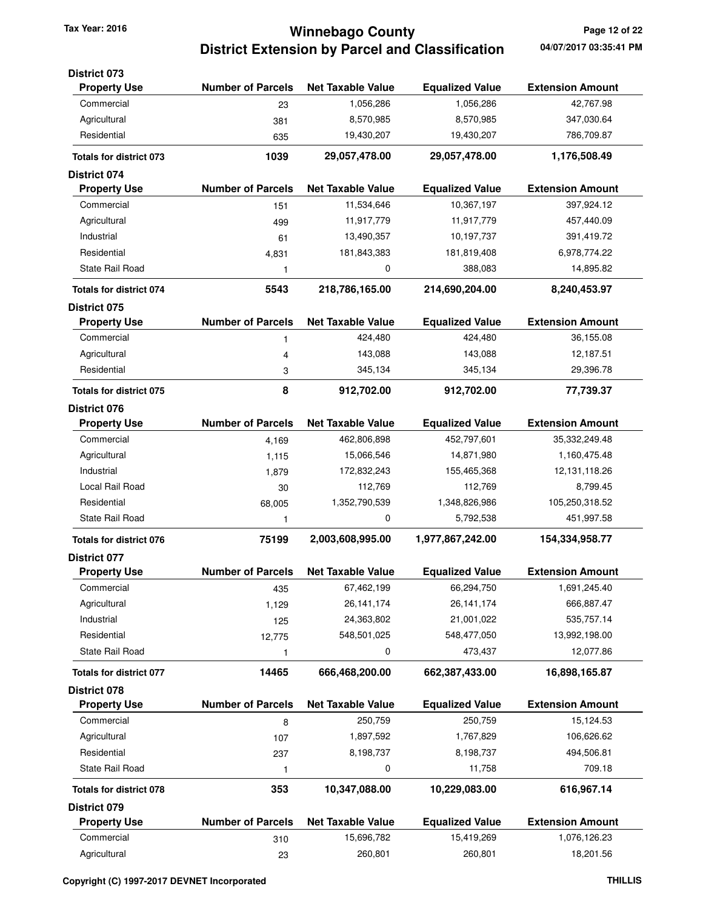## **Winnebago County Tax Year: 2016 Page 12 of 22 District Extension by Parcel and Classification**

| <b>District 073</b>            |                          |                          |                        |                         |
|--------------------------------|--------------------------|--------------------------|------------------------|-------------------------|
| <b>Property Use</b>            | <b>Number of Parcels</b> | <b>Net Taxable Value</b> | <b>Equalized Value</b> | <b>Extension Amount</b> |
| Commercial                     | 23                       | 1,056,286                | 1,056,286              | 42,767.98               |
| Agricultural                   | 381                      | 8,570,985                | 8,570,985              | 347,030.64              |
| Residential                    | 635                      | 19,430,207               | 19,430,207             | 786,709.87              |
| <b>Totals for district 073</b> | 1039                     | 29,057,478.00            | 29,057,478.00          | 1,176,508.49            |
| <b>District 074</b>            |                          |                          |                        |                         |
| <b>Property Use</b>            | <b>Number of Parcels</b> | <b>Net Taxable Value</b> | <b>Equalized Value</b> | <b>Extension Amount</b> |
| Commercial                     | 151                      | 11,534,646               | 10,367,197             | 397,924.12              |
| Agricultural                   | 499                      | 11,917,779               | 11,917,779             | 457,440.09              |
| Industrial                     | 61                       | 13,490,357               | 10,197,737             | 391,419.72              |
| Residential                    | 4,831                    | 181,843,383              | 181,819,408            | 6,978,774.22            |
| <b>State Rail Road</b>         | 1                        | 0                        | 388,083                | 14,895.82               |
| <b>Totals for district 074</b> | 5543                     | 218,786,165.00           | 214,690,204.00         | 8,240,453.97            |
| <b>District 075</b>            |                          |                          |                        |                         |
| <b>Property Use</b>            | <b>Number of Parcels</b> | <b>Net Taxable Value</b> | <b>Equalized Value</b> | <b>Extension Amount</b> |
| Commercial                     | 1                        | 424,480                  | 424,480                | 36,155.08               |
| Agricultural                   | 4                        | 143,088                  | 143,088                | 12,187.51               |
| Residential                    | 3                        | 345,134                  | 345,134                | 29,396.78               |
| <b>Totals for district 075</b> | 8                        | 912,702.00               | 912,702.00             | 77,739.37               |
| <b>District 076</b>            |                          |                          |                        |                         |
| <b>Property Use</b>            | <b>Number of Parcels</b> | <b>Net Taxable Value</b> | <b>Equalized Value</b> | <b>Extension Amount</b> |
| Commercial                     | 4,169                    | 462,806,898              | 452,797,601            | 35,332,249.48           |
| Agricultural                   | 1,115                    | 15,066,546               | 14,871,980             | 1,160,475.48            |
| Industrial                     | 1,879                    | 172,832,243              | 155,465,368            | 12,131,118.26           |
| Local Rail Road                | 30                       | 112,769                  | 112,769                | 8,799.45                |
| Residential                    | 68,005                   | 1,352,790,539            | 1,348,826,986          | 105,250,318.52          |
| State Rail Road                | 1                        | 0                        | 5,792,538              | 451,997.58              |
| <b>Totals for district 076</b> | 75199                    | 2,003,608,995.00         | 1,977,867,242.00       | 154,334,958.77          |
| District 077                   |                          |                          |                        |                         |
| <b>Property Use</b>            | <b>Number of Parcels</b> | <b>Net Taxable Value</b> | <b>Equalized Value</b> | <b>Extension Amount</b> |
| Commercial                     | 435                      | 67,462,199               | 66,294,750             | 1,691,245.40            |
| Agricultural                   | 1,129                    | 26, 141, 174             | 26, 141, 174           | 666,887.47              |
| Industrial                     | 125                      | 24,363,802               | 21,001,022             | 535,757.14              |
| Residential                    | 12,775                   | 548,501,025              | 548,477,050            | 13,992,198.00           |
| State Rail Road                | 1                        | 0                        | 473,437                | 12,077.86               |
| <b>Totals for district 077</b> | 14465                    | 666,468,200.00           | 662,387,433.00         | 16,898,165.87           |
| District 078                   |                          |                          |                        |                         |
| <b>Property Use</b>            | <b>Number of Parcels</b> | <b>Net Taxable Value</b> | <b>Equalized Value</b> | <b>Extension Amount</b> |
| Commercial                     | 8                        | 250,759                  | 250,759                | 15,124.53               |
| Agricultural                   | 107                      | 1,897,592                | 1,767,829              | 106,626.62              |
| Residential                    | 237                      | 8,198,737                | 8,198,737              | 494,506.81              |
| <b>State Rail Road</b>         | 1                        | 0                        | 11,758                 | 709.18                  |
| <b>Totals for district 078</b> | 353                      | 10,347,088.00            | 10,229,083.00          | 616,967.14              |
| District 079                   |                          |                          |                        |                         |
| <b>Property Use</b>            | <b>Number of Parcels</b> | <b>Net Taxable Value</b> | <b>Equalized Value</b> | <b>Extension Amount</b> |
| Commercial                     | 310                      | 15,696,782               | 15,419,269             | 1,076,126.23            |
| Agricultural                   | 23                       | 260,801                  | 260,801                | 18,201.56               |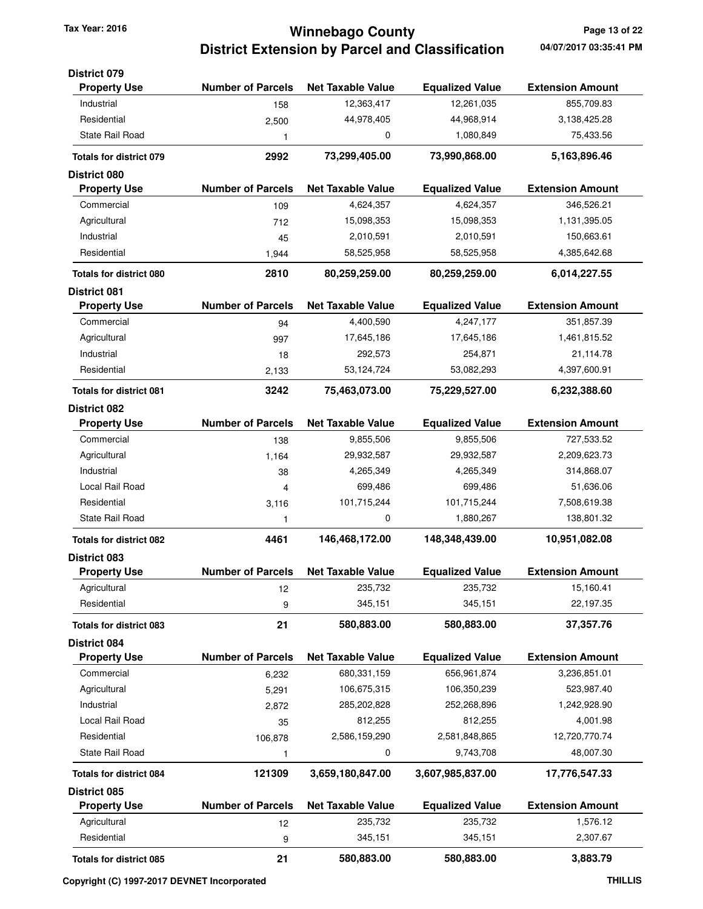## **Winnebago County Tax Year: 2016 Page 13 of 22 District Extension by Parcel and Classification**

| <b>District 079</b>                        |                          |                                        |                                      |                                       |
|--------------------------------------------|--------------------------|----------------------------------------|--------------------------------------|---------------------------------------|
| <b>Property Use</b><br>Industrial          | <b>Number of Parcels</b> | <b>Net Taxable Value</b><br>12,363,417 | <b>Equalized Value</b><br>12,261,035 | <b>Extension Amount</b><br>855,709.83 |
| Residential                                | 158                      | 44,978,405                             | 44,968,914                           | 3,138,425.28                          |
| <b>State Rail Road</b>                     | 2,500                    | 0                                      | 1,080,849                            | 75,433.56                             |
|                                            | 1                        |                                        |                                      |                                       |
| <b>Totals for district 079</b>             | 2992                     | 73,299,405.00                          | 73,990,868.00                        | 5,163,896.46                          |
| <b>District 080</b><br><b>Property Use</b> | <b>Number of Parcels</b> | <b>Net Taxable Value</b>               | <b>Equalized Value</b>               | <b>Extension Amount</b>               |
| Commercial                                 |                          | 4,624,357                              | 4,624,357                            | 346,526.21                            |
| Agricultural                               | 109<br>712               | 15,098,353                             | 15,098,353                           | 1,131,395.05                          |
| Industrial                                 | 45                       | 2,010,591                              | 2,010,591                            | 150,663.61                            |
| Residential                                | 1,944                    | 58,525,958                             | 58,525,958                           | 4,385,642.68                          |
| <b>Totals for district 080</b>             | 2810                     | 80,259,259.00                          | 80,259,259.00                        | 6,014,227.55                          |
| <b>District 081</b>                        |                          |                                        |                                      |                                       |
| <b>Property Use</b>                        | <b>Number of Parcels</b> | <b>Net Taxable Value</b>               | <b>Equalized Value</b>               | <b>Extension Amount</b>               |
| Commercial                                 | 94                       | 4,400,590                              | 4,247,177                            | 351,857.39                            |
| Agricultural                               | 997                      | 17,645,186                             | 17,645,186                           | 1,461,815.52                          |
| Industrial                                 | 18                       | 292,573                                | 254,871                              | 21,114.78                             |
| Residential                                | 2,133                    | 53,124,724                             | 53,082,293                           | 4,397,600.91                          |
| <b>Totals for district 081</b>             | 3242                     | 75,463,073.00                          | 75,229,527.00                        | 6,232,388.60                          |
| <b>District 082</b>                        |                          |                                        |                                      |                                       |
| <b>Property Use</b>                        | <b>Number of Parcels</b> | <b>Net Taxable Value</b>               | <b>Equalized Value</b>               | <b>Extension Amount</b>               |
| Commercial                                 | 138                      | 9,855,506                              | 9,855,506                            | 727,533.52                            |
| Agricultural                               | 1,164                    | 29,932,587                             | 29,932,587                           | 2,209,623.73                          |
| Industrial                                 | 38                       | 4,265,349                              | 4,265,349                            | 314,868.07                            |
| Local Rail Road                            | 4                        | 699,486                                | 699,486                              | 51,636.06                             |
| Residential                                | 3,116                    | 101,715,244                            | 101,715,244                          | 7,508,619.38                          |
| <b>State Rail Road</b>                     | 1                        | 0                                      | 1,880,267                            | 138,801.32                            |
| <b>Totals for district 082</b>             | 4461                     | 146,468,172.00                         | 148,348,439.00                       | 10,951,082.08                         |
| District 083                               |                          |                                        |                                      |                                       |
| <b>Property Use</b>                        | <b>Number of Parcels</b> | <b>Net Taxable Value</b>               | <b>Equalized Value</b>               | <b>Extension Amount</b>               |
| Agricultural                               | 12                       | 235,732                                | 235,732                              | 15,160.41                             |
| Residential                                | 9                        | 345,151                                | 345,151                              | 22,197.35                             |
| <b>Totals for district 083</b>             | 21                       | 580,883.00                             | 580,883.00                           | 37,357.76                             |
| District 084                               |                          |                                        |                                      |                                       |
| <b>Property Use</b>                        | <b>Number of Parcels</b> | <b>Net Taxable Value</b>               | <b>Equalized Value</b>               | <b>Extension Amount</b>               |
| Commercial                                 | 6,232                    | 680,331,159                            | 656,961,874                          | 3,236,851.01                          |
| Agricultural                               | 5,291                    | 106,675,315                            | 106,350,239                          | 523,987.40                            |
| Industrial                                 | 2,872                    | 285,202,828                            | 252,268,896                          | 1,242,928.90                          |
| Local Rail Road                            | 35                       | 812,255                                | 812,255                              | 4,001.98                              |
| Residential                                | 106,878                  | 2,586,159,290                          | 2,581,848,865                        | 12,720,770.74                         |
| State Rail Road                            | 1                        | 0                                      | 9,743,708                            | 48,007.30                             |
| <b>Totals for district 084</b>             | 121309                   | 3,659,180,847.00                       | 3,607,985,837.00                     | 17,776,547.33                         |
| District 085<br><b>Property Use</b>        | <b>Number of Parcels</b> | <b>Net Taxable Value</b>               | <b>Equalized Value</b>               | <b>Extension Amount</b>               |
| Agricultural                               |                          | 235,732                                | 235,732                              | 1,576.12                              |
| Residential                                | 12                       | 345,151                                | 345,151                              | 2,307.67                              |
|                                            | 9                        |                                        |                                      |                                       |
| <b>Totals for district 085</b>             | 21                       | 580,883.00                             | 580,883.00                           | 3,883.79                              |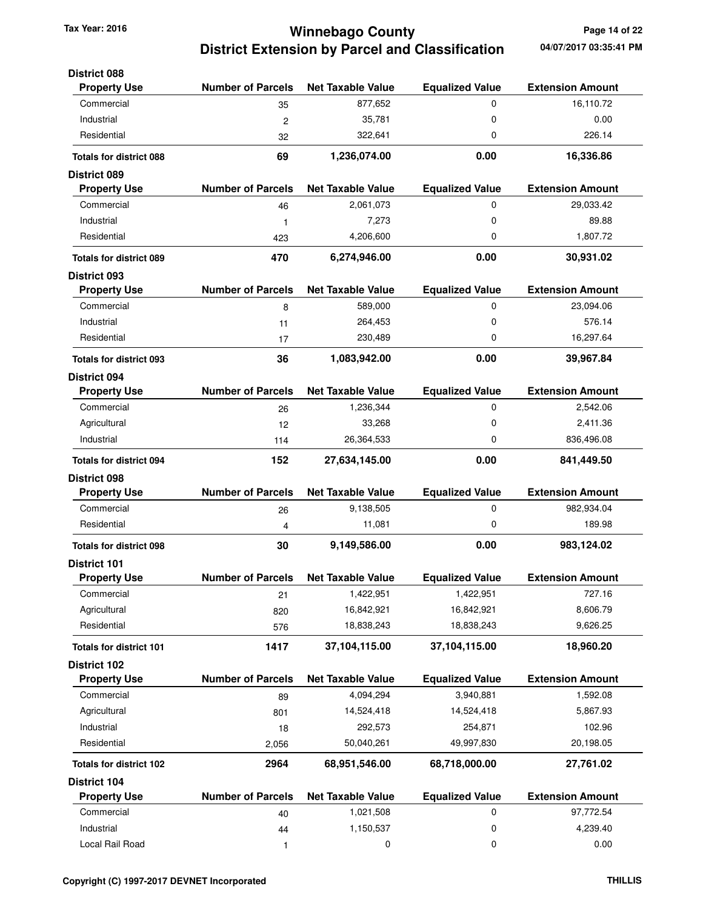# **Winnebago County Tax Year: 2016 Page 14 of 22 District Extension by Parcel and Classification**

| <b>District 088</b>            |                          |                          |                        |                         |
|--------------------------------|--------------------------|--------------------------|------------------------|-------------------------|
| <b>Property Use</b>            | <b>Number of Parcels</b> | <b>Net Taxable Value</b> | <b>Equalized Value</b> | <b>Extension Amount</b> |
| Commercial                     | 35                       | 877,652                  | 0                      | 16,110.72               |
| Industrial                     | $\overline{c}$           | 35,781                   | 0                      | 0.00                    |
| Residential                    | 32                       | 322,641                  | 0                      | 226.14                  |
| <b>Totals for district 088</b> | 69                       | 1,236,074.00             | 0.00                   | 16,336.86               |
| <b>District 089</b>            |                          |                          |                        |                         |
| <b>Property Use</b>            | <b>Number of Parcels</b> | <b>Net Taxable Value</b> | <b>Equalized Value</b> | <b>Extension Amount</b> |
| Commercial                     | 46                       | 2,061,073                | 0                      | 29,033.42               |
| Industrial                     | 1                        | 7,273                    | $\mathbf 0$            | 89.88                   |
| Residential                    | 423                      | 4,206,600                | 0                      | 1,807.72                |
| <b>Totals for district 089</b> | 470                      | 6,274,946.00             | 0.00                   | 30,931.02               |
| <b>District 093</b>            |                          |                          |                        |                         |
| <b>Property Use</b>            | <b>Number of Parcels</b> | <b>Net Taxable Value</b> | <b>Equalized Value</b> | <b>Extension Amount</b> |
| Commercial                     | 8                        | 589,000                  | 0                      | 23,094.06               |
| Industrial                     | 11                       | 264,453                  | $\mathbf 0$            | 576.14                  |
| Residential                    | 17                       | 230,489                  | 0                      | 16,297.64               |
| <b>Totals for district 093</b> | 36                       | 1,083,942.00             | 0.00                   | 39,967.84               |
| <b>District 094</b>            |                          |                          |                        |                         |
| <b>Property Use</b>            | <b>Number of Parcels</b> | <b>Net Taxable Value</b> | <b>Equalized Value</b> | <b>Extension Amount</b> |
| Commercial                     | 26                       | 1,236,344                | 0                      | 2,542.06                |
| Agricultural                   | 12                       | 33,268                   | 0                      | 2,411.36                |
| Industrial                     | 114                      | 26,364,533               | $\mathbf 0$            | 836,496.08              |
| <b>Totals for district 094</b> | 152                      | 27,634,145.00            | 0.00                   | 841,449.50              |
| <b>District 098</b>            |                          |                          |                        |                         |
| <b>Property Use</b>            | <b>Number of Parcels</b> | <b>Net Taxable Value</b> | <b>Equalized Value</b> | <b>Extension Amount</b> |
| Commercial                     | 26                       | 9,138,505                | 0                      | 982,934.04              |
| Residential                    | 4                        | 11,081                   | $\mathbf 0$            | 189.98                  |
| <b>Totals for district 098</b> | 30                       | 9,149,586.00             | 0.00                   | 983,124.02              |
| <b>District 101</b>            |                          |                          |                        |                         |
| <b>Property Use</b>            | <b>Number of Parcels</b> | <b>Net Taxable Value</b> | <b>Equalized Value</b> | <b>Extension Amount</b> |
| Commercial                     | 21                       | 1,422,951                | 1,422,951              | 727.16                  |
| Agricultural                   | 820                      | 16,842,921               | 16,842,921             | 8,606.79                |
| Residential                    | 576                      | 18,838,243               | 18,838,243             | 9,626.25                |
| Totals for district 101        | 1417                     | 37,104,115.00            | 37,104,115.00          | 18,960.20               |
| <b>District 102</b>            |                          |                          |                        |                         |
| <b>Property Use</b>            | <b>Number of Parcels</b> | <b>Net Taxable Value</b> | <b>Equalized Value</b> | <b>Extension Amount</b> |
| Commercial                     | 89                       | 4,094,294                | 3,940,881              | 1,592.08                |
| Agricultural                   | 801                      | 14,524,418               | 14,524,418             | 5,867.93                |
| Industrial                     | 18                       | 292,573                  | 254,871                | 102.96                  |
| Residential                    | 2,056                    | 50,040,261               | 49,997,830             | 20,198.05               |
| <b>Totals for district 102</b> | 2964                     | 68,951,546.00            | 68,718,000.00          | 27,761.02               |
| District 104                   |                          |                          |                        |                         |
| <b>Property Use</b>            | <b>Number of Parcels</b> | <b>Net Taxable Value</b> | <b>Equalized Value</b> | <b>Extension Amount</b> |
| Commercial                     | 40                       | 1,021,508                | 0                      | 97,772.54               |
| Industrial                     | 44                       | 1,150,537                | 0                      | 4,239.40                |
| Local Rail Road                | 1                        | 0                        | $\mathbf 0$            | 0.00                    |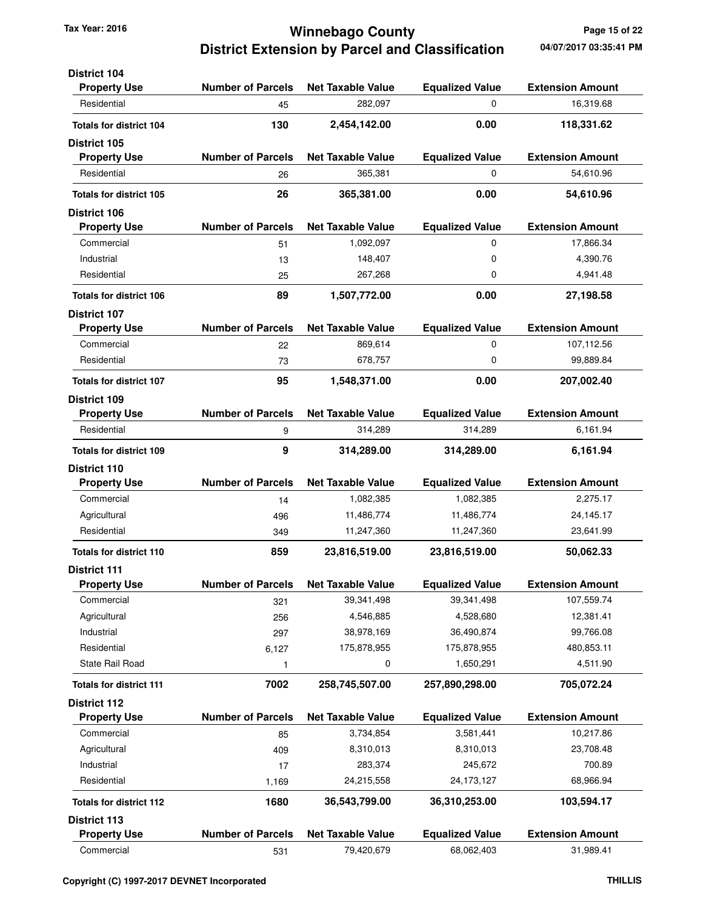### **Winnebago County Tax Year: 2016 Page 15 of 22 District Extension by Parcel and Classification**

| <b>District 104</b>            |                          |                          |                        |                         |
|--------------------------------|--------------------------|--------------------------|------------------------|-------------------------|
| <b>Property Use</b>            | <b>Number of Parcels</b> | <b>Net Taxable Value</b> | <b>Equalized Value</b> | <b>Extension Amount</b> |
| Residential                    | 45                       | 282,097                  | 0                      | 16,319.68               |
| <b>Totals for district 104</b> | 130                      | 2,454,142.00             | 0.00                   | 118,331.62              |
| <b>District 105</b>            |                          |                          |                        |                         |
| <b>Property Use</b>            | <b>Number of Parcels</b> | <b>Net Taxable Value</b> | <b>Equalized Value</b> | <b>Extension Amount</b> |
| Residential                    | 26                       | 365,381                  | 0                      | 54,610.96               |
| <b>Totals for district 105</b> | 26                       | 365,381.00               | 0.00                   | 54,610.96               |
| <b>District 106</b>            |                          |                          |                        |                         |
| <b>Property Use</b>            | <b>Number of Parcels</b> | <b>Net Taxable Value</b> | <b>Equalized Value</b> | <b>Extension Amount</b> |
| Commercial                     | 51                       | 1,092,097                | 0                      | 17,866.34               |
| Industrial                     | 13                       | 148,407                  | 0                      | 4,390.76                |
| Residential                    | 25                       | 267,268                  | 0                      | 4,941.48                |
| <b>Totals for district 106</b> | 89                       | 1,507,772.00             | 0.00                   | 27,198.58               |
| <b>District 107</b>            |                          |                          |                        |                         |
| <b>Property Use</b>            | <b>Number of Parcels</b> | <b>Net Taxable Value</b> | <b>Equalized Value</b> | <b>Extension Amount</b> |
| Commercial                     | 22                       | 869,614                  | 0                      | 107,112.56              |
| Residential                    | 73                       | 678,757                  | 0                      | 99,889.84               |
| <b>Totals for district 107</b> | 95                       | 1,548,371.00             | 0.00                   | 207,002.40              |
| <b>District 109</b>            |                          |                          |                        |                         |
| <b>Property Use</b>            | <b>Number of Parcels</b> | <b>Net Taxable Value</b> | <b>Equalized Value</b> | <b>Extension Amount</b> |
| Residential                    | 9                        | 314,289                  | 314,289                | 6,161.94                |
| <b>Totals for district 109</b> | 9                        | 314,289.00               | 314,289.00             | 6,161.94                |
| <b>District 110</b>            |                          |                          |                        |                         |
| <b>Property Use</b>            | <b>Number of Parcels</b> | <b>Net Taxable Value</b> | <b>Equalized Value</b> | <b>Extension Amount</b> |
| Commercial                     | 14                       | 1,082,385                | 1,082,385              | 2,275.17                |
| Agricultural                   | 496                      | 11,486,774               | 11,486,774             | 24,145.17               |
| Residential                    | 349                      | 11,247,360               | 11,247,360             | 23,641.99               |
| <b>Totals for district 110</b> | 859                      | 23,816,519.00            | 23,816,519.00          | 50,062.33               |
| <b>District 111</b>            |                          |                          |                        |                         |
| <b>Property Use</b>            | <b>Number of Parcels</b> | <b>Net Taxable Value</b> | <b>Equalized Value</b> | <b>Extension Amount</b> |
| Commercial                     | 321                      | 39,341,498               | 39,341,498             | 107,559.74              |
| Agricultural                   | 256                      | 4,546,885                | 4,528,680              | 12,381.41               |
| Industrial                     | 297                      | 38,978,169               | 36,490,874             | 99,766.08               |
| Residential                    | 6,127                    | 175,878,955              | 175,878,955            | 480,853.11              |
| State Rail Road                | 1                        | 0                        | 1,650,291              | 4,511.90                |
| <b>Totals for district 111</b> | 7002                     | 258,745,507.00           | 257,890,298.00         | 705,072.24              |
| <b>District 112</b>            |                          |                          |                        |                         |
| <b>Property Use</b>            | <b>Number of Parcels</b> | <b>Net Taxable Value</b> | <b>Equalized Value</b> | <b>Extension Amount</b> |
| Commercial                     | 85                       | 3,734,854                | 3,581,441              | 10,217.86               |
| Agricultural                   | 409                      | 8,310,013                | 8,310,013              | 23,708.48               |
| Industrial                     | 17                       | 283,374                  | 245,672                | 700.89                  |
| Residential                    | 1,169                    | 24,215,558               | 24, 173, 127           | 68,966.94               |
| <b>Totals for district 112</b> | 1680                     | 36,543,799.00            | 36,310,253.00          | 103,594.17              |
| <b>District 113</b>            |                          |                          |                        |                         |
| <b>Property Use</b>            | <b>Number of Parcels</b> | <b>Net Taxable Value</b> | <b>Equalized Value</b> | <b>Extension Amount</b> |
| Commercial                     | 531                      | 79,420,679               | 68,062,403             | 31,989.41               |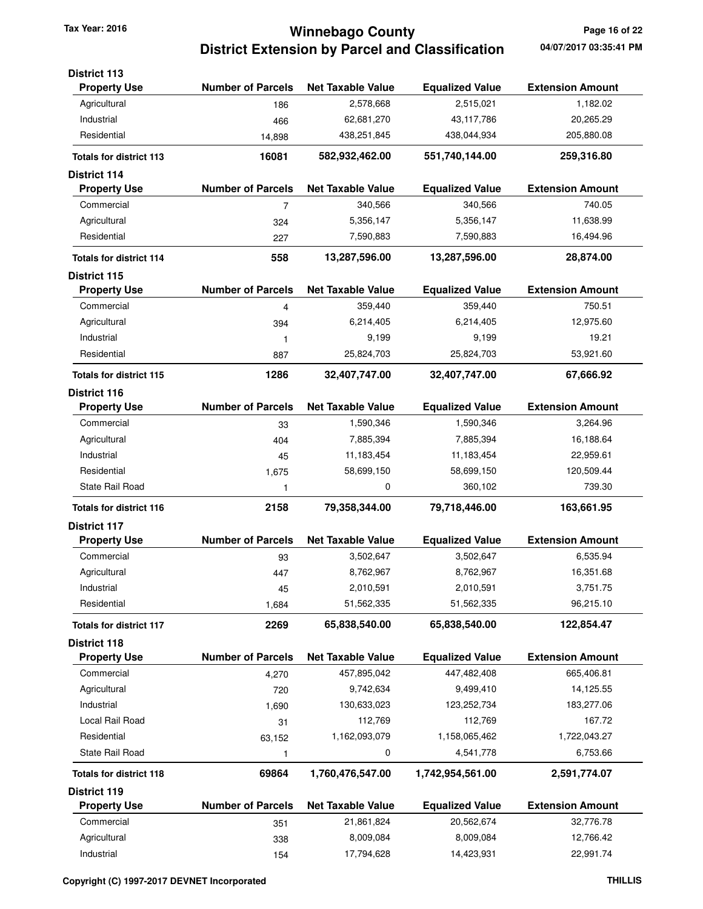## **Winnebago County Tax Year: 2016 Page 16 of 22 District Extension by Parcel and Classification**

| <b>District 113</b>            |                          |                          |                        |                         |
|--------------------------------|--------------------------|--------------------------|------------------------|-------------------------|
| <b>Property Use</b>            | <b>Number of Parcels</b> | <b>Net Taxable Value</b> | <b>Equalized Value</b> | <b>Extension Amount</b> |
| Agricultural                   | 186                      | 2,578,668                | 2,515,021              | 1,182.02                |
| Industrial                     | 466                      | 62,681,270               | 43,117,786             | 20,265.29               |
| Residential                    | 14,898                   | 438,251,845              | 438,044,934            | 205,880.08              |
| <b>Totals for district 113</b> | 16081                    | 582,932,462.00           | 551,740,144.00         | 259,316.80              |
| <b>District 114</b>            |                          |                          |                        |                         |
| <b>Property Use</b>            | <b>Number of Parcels</b> | <b>Net Taxable Value</b> | <b>Equalized Value</b> | <b>Extension Amount</b> |
| Commercial                     | 7                        | 340,566                  | 340,566                | 740.05                  |
| Agricultural                   | 324                      | 5,356,147                | 5,356,147              | 11,638.99               |
| Residential                    | 227                      | 7,590,883                | 7,590,883              | 16,494.96               |
| <b>Totals for district 114</b> | 558                      | 13,287,596.00            | 13,287,596.00          | 28,874.00               |
| <b>District 115</b>            |                          |                          |                        |                         |
| <b>Property Use</b>            | <b>Number of Parcels</b> | <b>Net Taxable Value</b> | <b>Equalized Value</b> | <b>Extension Amount</b> |
| Commercial                     | 4                        | 359,440                  | 359,440                | 750.51                  |
| Agricultural                   | 394                      | 6,214,405                | 6,214,405              | 12,975.60               |
| Industrial                     | 1                        | 9,199                    | 9,199                  | 19.21                   |
| Residential                    | 887                      | 25,824,703               | 25,824,703             | 53,921.60               |
| <b>Totals for district 115</b> | 1286                     | 32,407,747.00            | 32,407,747.00          | 67,666.92               |
| <b>District 116</b>            |                          |                          |                        |                         |
| <b>Property Use</b>            | <b>Number of Parcels</b> | <b>Net Taxable Value</b> | <b>Equalized Value</b> | <b>Extension Amount</b> |
| Commercial                     | 33                       | 1,590,346                | 1,590,346              | 3,264.96                |
| Agricultural                   | 404                      | 7,885,394                | 7,885,394              | 16,188.64               |
| Industrial                     | 45                       | 11,183,454               | 11,183,454             | 22,959.61               |
| Residential                    | 1,675                    | 58,699,150               | 58,699,150             | 120,509.44              |
| <b>State Rail Road</b>         | 1                        | 0                        | 360,102                | 739.30                  |
| <b>Totals for district 116</b> | 2158                     | 79,358,344.00            | 79,718,446.00          | 163,661.95              |
| <b>District 117</b>            |                          |                          |                        |                         |
| <b>Property Use</b>            | <b>Number of Parcels</b> | <b>Net Taxable Value</b> | <b>Equalized Value</b> | <b>Extension Amount</b> |
| Commercial                     | 93                       | 3,502,647                | 3,502,647              | 6,535.94                |
| Agricultural                   | 447                      | 8,762,967                | 8,762,967              | 16,351.68               |
| Industrial                     | 45                       | 2,010,591                | 2,010,591              | 3,751.75                |
| Residential                    | 1,684                    | 51,562,335               | 51,562,335             | 96,215.10               |
| <b>Totals for district 117</b> | 2269                     | 65,838,540.00            | 65,838,540.00          | 122,854.47              |
| <b>District 118</b>            |                          |                          |                        |                         |
| <b>Property Use</b>            | <b>Number of Parcels</b> | <b>Net Taxable Value</b> | <b>Equalized Value</b> | <b>Extension Amount</b> |
| Commercial                     | 4,270                    | 457,895,042              | 447,482,408            | 665,406.81              |
| Agricultural                   | 720                      | 9,742,634                | 9,499,410              | 14,125.55               |
| Industrial                     | 1,690                    | 130,633,023              | 123,252,734            | 183,277.06              |
| Local Rail Road                | 31                       | 112,769                  | 112,769                | 167.72                  |
| Residential                    | 63,152                   | 1,162,093,079            | 1,158,065,462          | 1,722,043.27            |
| State Rail Road                | 1                        | 0                        | 4,541,778              | 6,753.66                |
| <b>Totals for district 118</b> | 69864                    | 1,760,476,547.00         | 1,742,954,561.00       | 2,591,774.07            |
| <b>District 119</b>            |                          |                          |                        |                         |
| <b>Property Use</b>            | <b>Number of Parcels</b> | <b>Net Taxable Value</b> | <b>Equalized Value</b> | <b>Extension Amount</b> |
| Commercial                     | 351                      | 21,861,824               | 20,562,674             | 32,776.78               |
| Agricultural                   | 338                      | 8,009,084                | 8,009,084              | 12,766.42               |
| Industrial                     | 154                      | 17,794,628               | 14,423,931             | 22,991.74               |
|                                |                          |                          |                        |                         |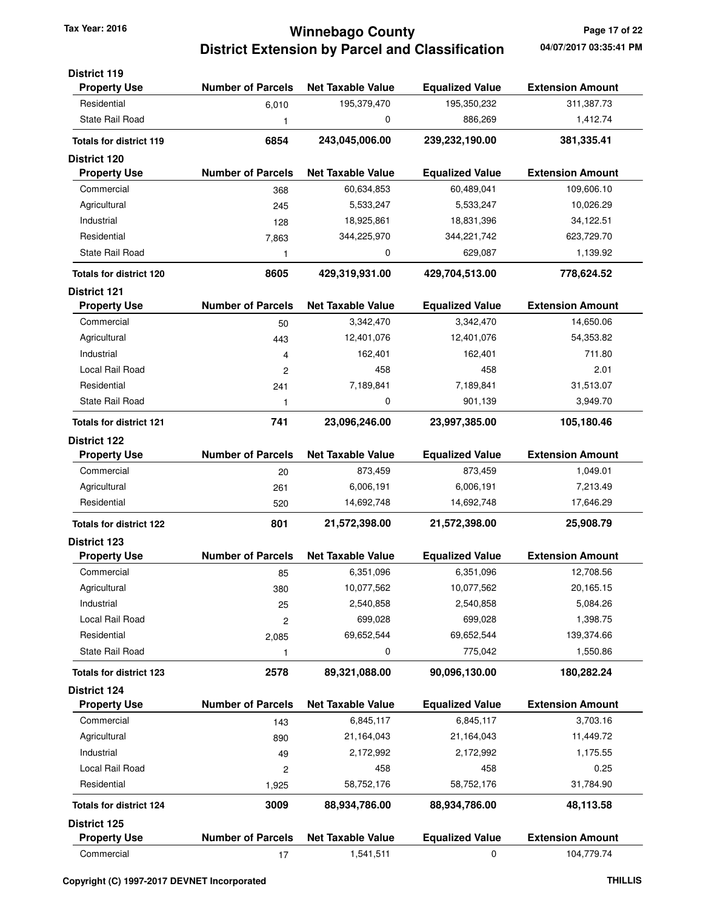# **Winnebago County Tax Year: 2016 Page 17 of 22 District Extension by Parcel and Classification**

| <b>District 119</b><br><b>Property Use</b> | <b>Number of Parcels</b> | <b>Net Taxable Value</b> | <b>Equalized Value</b> | <b>Extension Amount</b> |
|--------------------------------------------|--------------------------|--------------------------|------------------------|-------------------------|
| Residential                                |                          | 195,379,470              | 195,350,232            | 311,387.73              |
| <b>State Rail Road</b>                     | 6,010                    | 0                        | 886,269                | 1,412.74                |
|                                            | 1                        |                          |                        |                         |
| <b>Totals for district 119</b>             | 6854                     | 243,045,006.00           | 239,232,190.00         | 381,335.41              |
| <b>District 120</b>                        |                          |                          |                        |                         |
| <b>Property Use</b>                        | <b>Number of Parcels</b> | <b>Net Taxable Value</b> | <b>Equalized Value</b> | <b>Extension Amount</b> |
| Commercial                                 | 368                      | 60,634,853               | 60,489,041             | 109,606.10              |
| Agricultural                               | 245                      | 5,533,247                | 5,533,247              | 10,026.29               |
| Industrial                                 | 128                      | 18,925,861               | 18,831,396             | 34,122.51               |
| Residential                                | 7,863                    | 344,225,970              | 344,221,742            | 623,729.70              |
| <b>State Rail Road</b>                     | 1                        | 0                        | 629,087                | 1,139.92                |
| <b>Totals for district 120</b>             | 8605                     | 429,319,931.00           | 429,704,513.00         | 778,624.52              |
| <b>District 121</b>                        |                          |                          |                        |                         |
| <b>Property Use</b>                        | <b>Number of Parcels</b> | <b>Net Taxable Value</b> | <b>Equalized Value</b> | <b>Extension Amount</b> |
| Commercial                                 | 50                       | 3,342,470                | 3,342,470              | 14,650.06               |
| Agricultural                               | 443                      | 12,401,076               | 12,401,076             | 54,353.82               |
| Industrial                                 | 4                        | 162,401                  | 162,401                | 711.80                  |
| Local Rail Road                            | $\overline{c}$           | 458                      | 458                    | 2.01                    |
| Residential                                | 241                      | 7,189,841                | 7,189,841              | 31,513.07               |
| State Rail Road                            | 1                        | 0                        | 901,139                | 3,949.70                |
| <b>Totals for district 121</b>             | 741                      | 23,096,246.00            | 23,997,385.00          | 105,180.46              |
| <b>District 122</b>                        |                          |                          |                        |                         |
| <b>Property Use</b>                        | <b>Number of Parcels</b> | <b>Net Taxable Value</b> | <b>Equalized Value</b> | <b>Extension Amount</b> |
| Commercial                                 | 20                       | 873,459                  | 873,459                | 1,049.01                |
| Agricultural                               | 261                      | 6,006,191                | 6,006,191              | 7,213.49                |
| Residential                                | 520                      | 14,692,748               | 14,692,748             | 17,646.29               |
| <b>Totals for district 122</b>             | 801                      | 21,572,398.00            | 21,572,398.00          | 25,908.79               |
| <b>District 123</b>                        |                          |                          |                        |                         |
| <b>Property Use</b>                        | <b>Number of Parcels</b> | <b>Net Taxable Value</b> | <b>Equalized Value</b> | <b>Extension Amount</b> |
| Commercial                                 | 85                       | 6,351,096                | 6,351,096              | 12,708.56               |
| Agricultural                               | 380                      | 10,077,562               | 10,077,562             | 20,165.15               |
| Industrial                                 | 25                       | 2,540,858                | 2,540,858              | 5,084.26                |
| Local Rail Road                            | $\overline{c}$           | 699,028                  | 699,028                | 1,398.75                |
| Residential                                | 2,085                    | 69,652,544               | 69,652,544             | 139,374.66              |
| State Rail Road                            | 1                        | 0                        | 775,042                | 1,550.86                |
| <b>Totals for district 123</b>             | 2578                     | 89,321,088.00            | 90,096,130.00          | 180,282.24              |
| <b>District 124</b>                        |                          |                          |                        |                         |
| <b>Property Use</b>                        | <b>Number of Parcels</b> | <b>Net Taxable Value</b> | <b>Equalized Value</b> | <b>Extension Amount</b> |
| Commercial                                 | 143                      | 6,845,117                | 6,845,117              | 3,703.16                |
| Agricultural                               | 890                      | 21,164,043               | 21,164,043             | 11,449.72               |
| Industrial                                 | 49                       | 2,172,992                | 2,172,992              | 1,175.55                |
| Local Rail Road                            | $\overline{\mathbf{c}}$  | 458                      | 458                    | 0.25                    |
| Residential                                | 1,925                    | 58,752,176               | 58,752,176             | 31,784.90               |
| <b>Totals for district 124</b>             | 3009                     | 88,934,786.00            | 88,934,786.00          | 48,113.58               |
| <b>District 125</b>                        |                          |                          |                        |                         |
| <b>Property Use</b>                        | <b>Number of Parcels</b> | <b>Net Taxable Value</b> | <b>Equalized Value</b> | <b>Extension Amount</b> |
| Commercial                                 | 17                       | 1,541,511                | 0                      | 104,779.74              |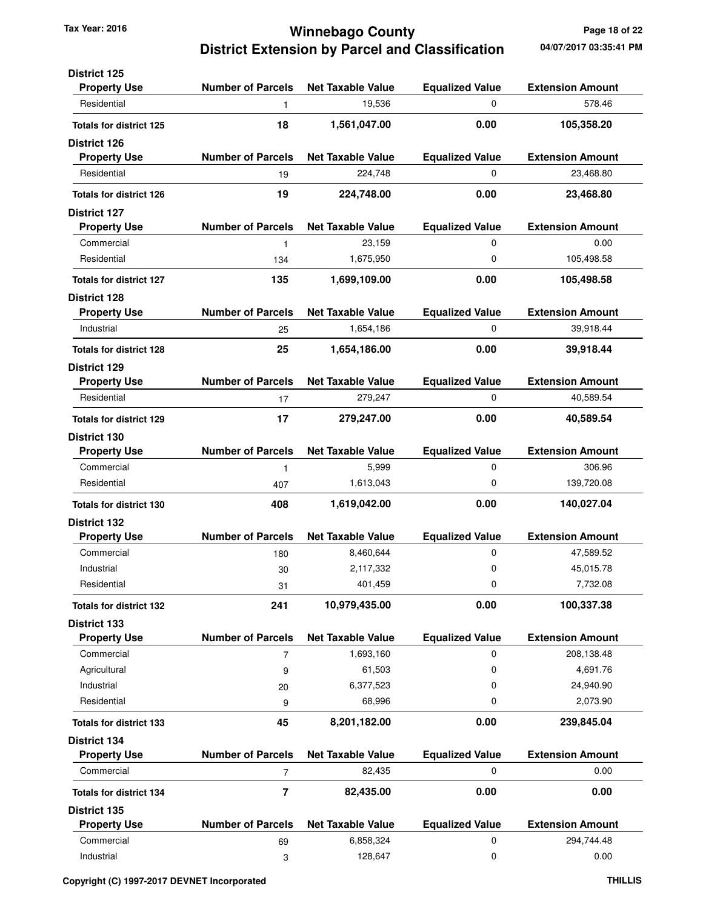### **Winnebago County Tax Year: 2016 Page 18 of 22 District Extension by Parcel and Classification**

| <b>District 125</b>                        |                          |                          |                             |                         |
|--------------------------------------------|--------------------------|--------------------------|-----------------------------|-------------------------|
| <b>Property Use</b>                        | <b>Number of Parcels</b> | <b>Net Taxable Value</b> | <b>Equalized Value</b>      | <b>Extension Amount</b> |
| Residential                                | 1                        | 19,536                   | 0                           | 578.46                  |
| <b>Totals for district 125</b>             | 18                       | 1,561,047.00             | 0.00                        | 105,358.20              |
| <b>District 126</b>                        |                          |                          |                             |                         |
| <b>Property Use</b>                        | <b>Number of Parcels</b> | <b>Net Taxable Value</b> | <b>Equalized Value</b>      | <b>Extension Amount</b> |
| Residential                                | 19                       | 224,748                  | 0                           | 23,468.80               |
| <b>Totals for district 126</b>             | 19                       | 224,748.00               | 0.00                        | 23,468.80               |
| <b>District 127</b>                        |                          |                          |                             |                         |
| <b>Property Use</b>                        | <b>Number of Parcels</b> | <b>Net Taxable Value</b> | <b>Equalized Value</b>      | <b>Extension Amount</b> |
| Commercial                                 | 1                        | 23,159                   | $\mathbf 0$                 | 0.00                    |
| Residential                                | 134                      | 1,675,950                | 0                           | 105,498.58              |
| <b>Totals for district 127</b>             | 135                      | 1,699,109.00             | 0.00                        | 105,498.58              |
| <b>District 128</b>                        |                          |                          |                             |                         |
| <b>Property Use</b>                        | <b>Number of Parcels</b> | <b>Net Taxable Value</b> | <b>Equalized Value</b>      | <b>Extension Amount</b> |
| Industrial                                 | 25                       | 1,654,186                | 0                           | 39,918.44               |
| <b>Totals for district 128</b>             | 25                       | 1,654,186.00             | 0.00                        | 39,918.44               |
| <b>District 129</b>                        | <b>Number of Parcels</b> | <b>Net Taxable Value</b> |                             | <b>Extension Amount</b> |
| <b>Property Use</b><br>Residential         |                          | 279,247                  | <b>Equalized Value</b><br>0 | 40,589.54               |
|                                            | 17                       |                          |                             |                         |
| <b>Totals for district 129</b>             | 17                       | 279,247.00               | 0.00                        | 40,589.54               |
| <b>District 130</b>                        |                          |                          |                             |                         |
| <b>Property Use</b>                        | <b>Number of Parcels</b> | <b>Net Taxable Value</b> | <b>Equalized Value</b>      | <b>Extension Amount</b> |
| Commercial                                 | 1                        | 5,999                    | 0                           | 306.96                  |
| Residential                                | 407                      | 1,613,043                | $\mathbf 0$                 | 139,720.08              |
| <b>Totals for district 130</b>             | 408                      | 1,619,042.00             | 0.00                        | 140,027.04              |
| <b>District 132</b><br><b>Property Use</b> | <b>Number of Parcels</b> | <b>Net Taxable Value</b> | <b>Equalized Value</b>      | <b>Extension Amount</b> |
| Commercial                                 | 180                      | 8,460,644                | $\mathbf 0$                 | 47,589.52               |
| Industrial                                 | 30                       | 2,117,332                | 0                           | 45,015.78               |
| Residential                                | 31                       | 401,459                  | 0                           | 7,732.08                |
|                                            |                          |                          |                             |                         |
| <b>Totals for district 132</b>             | 241                      | 10,979,435.00            | 0.00                        | 100,337.38              |
| <b>District 133</b>                        | <b>Number of Parcels</b> | <b>Net Taxable Value</b> |                             | <b>Extension Amount</b> |
| <b>Property Use</b><br>Commercial          |                          |                          | <b>Equalized Value</b>      |                         |
|                                            | $\overline{7}$           | 1,693,160                | 0                           | 208,138.48              |
| Agricultural                               | 9                        | 61,503                   | 0                           | 4,691.76                |
| Industrial<br>Residential                  | 20                       | 6,377,523<br>68,996      | 0<br>0                      | 24,940.90<br>2,073.90   |
|                                            | 9                        |                          |                             |                         |
| <b>Totals for district 133</b>             | 45                       | 8,201,182.00             | 0.00                        | 239,845.04              |
| <b>District 134</b>                        |                          |                          |                             |                         |
| <b>Property Use</b>                        | <b>Number of Parcels</b> | <b>Net Taxable Value</b> | <b>Equalized Value</b>      | <b>Extension Amount</b> |
| Commercial                                 | 7                        | 82,435                   | 0                           | 0.00                    |
| <b>Totals for district 134</b>             | 7                        | 82,435.00                | 0.00                        | 0.00                    |
| <b>District 135</b>                        |                          |                          |                             |                         |
| <b>Property Use</b>                        | <b>Number of Parcels</b> | <b>Net Taxable Value</b> | <b>Equalized Value</b>      | <b>Extension Amount</b> |
| Commercial                                 | 69                       | 6,858,324                | 0                           | 294,744.48              |
| Industrial                                 | 3                        | 128,647                  | 0                           | 0.00                    |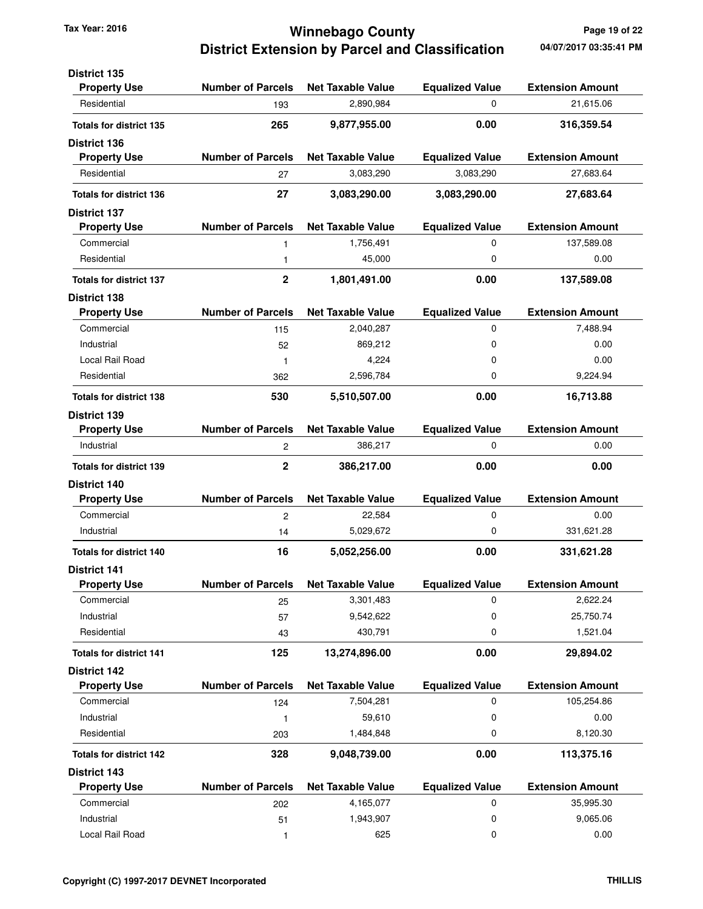### **Winnebago County Tax Year: 2016 Page 19 of 22 District Extension by Parcel and Classification**

| <b>District 135</b>            |                          |                          |                        |                         |
|--------------------------------|--------------------------|--------------------------|------------------------|-------------------------|
| <b>Property Use</b>            | <b>Number of Parcels</b> | <b>Net Taxable Value</b> | <b>Equalized Value</b> | <b>Extension Amount</b> |
| Residential                    | 193                      | 2,890,984                | 0                      | 21,615.06               |
| <b>Totals for district 135</b> | 265                      | 9,877,955.00             | 0.00                   | 316,359.54              |
| <b>District 136</b>            |                          |                          |                        |                         |
| <b>Property Use</b>            | <b>Number of Parcels</b> | <b>Net Taxable Value</b> | <b>Equalized Value</b> | <b>Extension Amount</b> |
| Residential                    | 27                       | 3,083,290                | 3,083,290              | 27,683.64               |
| <b>Totals for district 136</b> | 27                       | 3,083,290.00             | 3,083,290.00           | 27,683.64               |
| <b>District 137</b>            |                          |                          |                        |                         |
| <b>Property Use</b>            | <b>Number of Parcels</b> | <b>Net Taxable Value</b> | <b>Equalized Value</b> | <b>Extension Amount</b> |
| Commercial                     | 1                        | 1,756,491                | 0                      | 137,589.08              |
| Residential                    | $\mathbf{1}$             | 45,000                   | 0                      | 0.00                    |
| <b>Totals for district 137</b> | $\mathbf 2$              | 1,801,491.00             | 0.00                   | 137,589.08              |
| <b>District 138</b>            |                          |                          |                        |                         |
| <b>Property Use</b>            | <b>Number of Parcels</b> | <b>Net Taxable Value</b> | <b>Equalized Value</b> | <b>Extension Amount</b> |
| Commercial                     | 115                      | 2,040,287                | 0                      | 7,488.94                |
| Industrial                     | 52                       | 869,212                  | 0                      | 0.00                    |
| Local Rail Road                | $\mathbf{1}$             | 4,224                    | 0                      | 0.00                    |
| Residential                    | 362                      | 2,596,784                | 0                      | 9.224.94                |
| <b>Totals for district 138</b> | 530                      | 5,510,507.00             | 0.00                   | 16,713.88               |
| <b>District 139</b>            |                          |                          |                        |                         |
| <b>Property Use</b>            | <b>Number of Parcels</b> | <b>Net Taxable Value</b> | <b>Equalized Value</b> | <b>Extension Amount</b> |
| Industrial                     | 2                        | 386,217                  | 0                      | 0.00                    |
| <b>Totals for district 139</b> | $\mathbf 2$              | 386,217.00               | 0.00                   | 0.00                    |
| <b>District 140</b>            |                          |                          |                        |                         |
| <b>Property Use</b>            | <b>Number of Parcels</b> | <b>Net Taxable Value</b> | <b>Equalized Value</b> | <b>Extension Amount</b> |
| Commercial                     | $\overline{c}$           | 22,584                   | 0                      | 0.00                    |
| Industrial                     | 14                       | 5,029,672                | 0                      | 331,621.28              |
| <b>Totals for district 140</b> | 16                       | 5,052,256.00             | 0.00                   | 331,621.28              |
| <b>District 141</b>            |                          |                          |                        |                         |
| <b>Property Use</b>            | <b>Number of Parcels</b> | <b>Net Taxable Value</b> | <b>Equalized Value</b> | <b>Extension Amount</b> |
| Commercial                     | 25                       | 3,301,483                | 0                      | 2,622.24                |
| Industrial                     | 57                       | 9,542,622                | 0                      | 25,750.74               |
| Residential                    | 43                       | 430,791                  | 0                      | 1,521.04                |
| <b>Totals for district 141</b> | 125                      | 13,274,896.00            | 0.00                   | 29,894.02               |
| <b>District 142</b>            |                          |                          |                        |                         |
| <b>Property Use</b>            | <b>Number of Parcels</b> | <b>Net Taxable Value</b> | <b>Equalized Value</b> | <b>Extension Amount</b> |
| Commercial                     | 124                      | 7,504,281                | 0                      | 105,254.86              |
| Industrial                     | $\mathbf{1}$             | 59,610                   | 0                      | 0.00                    |
| Residential                    | 203                      | 1,484,848                | 0                      | 8,120.30                |
| <b>Totals for district 142</b> | 328                      | 9,048,739.00             | 0.00                   | 113,375.16              |
| <b>District 143</b>            |                          |                          |                        |                         |
| <b>Property Use</b>            | <b>Number of Parcels</b> | <b>Net Taxable Value</b> | <b>Equalized Value</b> | <b>Extension Amount</b> |
| Commercial                     | 202                      | 4,165,077                | 0                      | 35,995.30               |
| Industrial                     | 51                       | 1,943,907                | 0                      | 9,065.06                |
| Local Rail Road                | 1                        | 625                      | 0                      | 0.00                    |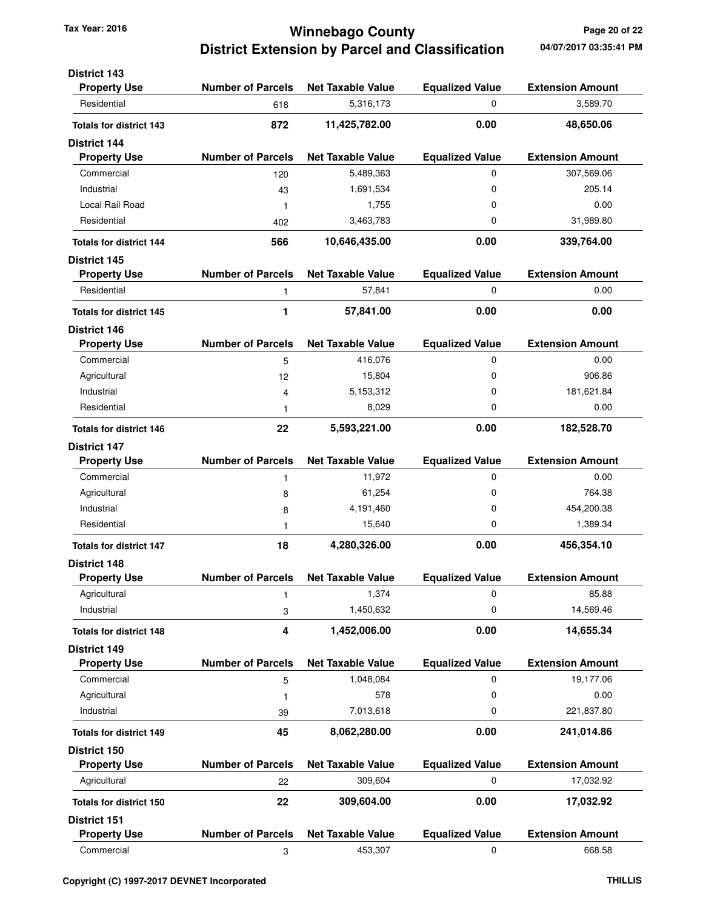## **Winnebago County Tax Year: 2016 Page 20 of 22 District Extension by Parcel and Classification**

| <b>District 143</b>            |                          |                          |                        |                         |
|--------------------------------|--------------------------|--------------------------|------------------------|-------------------------|
| <b>Property Use</b>            | <b>Number of Parcels</b> | <b>Net Taxable Value</b> | <b>Equalized Value</b> | <b>Extension Amount</b> |
| Residential                    | 618                      | 5,316,173                | 0                      | 3,589.70                |
| <b>Totals for district 143</b> | 872                      | 11,425,782.00            | 0.00                   | 48,650.06               |
| <b>District 144</b>            |                          |                          |                        |                         |
| <b>Property Use</b>            | <b>Number of Parcels</b> | <b>Net Taxable Value</b> | <b>Equalized Value</b> | <b>Extension Amount</b> |
| Commercial                     | 120                      | 5,489,363                | 0                      | 307,569.06              |
| Industrial                     | 43                       | 1,691,534                | 0                      | 205.14                  |
| Local Rail Road                | 1                        | 1,755                    | 0                      | 0.00                    |
| Residential                    | 402                      | 3,463,783                | 0                      | 31,989.80               |
| <b>Totals for district 144</b> | 566                      | 10,646,435.00            | 0.00                   | 339,764.00              |
| <b>District 145</b>            |                          |                          |                        |                         |
| <b>Property Use</b>            | <b>Number of Parcels</b> | <b>Net Taxable Value</b> | <b>Equalized Value</b> | <b>Extension Amount</b> |
| Residential                    | 1                        | 57,841                   | 0                      | 0.00                    |
| <b>Totals for district 145</b> | 1                        | 57,841.00                | 0.00                   | 0.00                    |
| <b>District 146</b>            |                          |                          |                        |                         |
| <b>Property Use</b>            | <b>Number of Parcels</b> | <b>Net Taxable Value</b> | <b>Equalized Value</b> | <b>Extension Amount</b> |
| Commercial                     | 5                        | 416,076                  | 0                      | 0.00                    |
| Agricultural                   | 12                       | 15,804                   | 0                      | 906.86                  |
| Industrial                     | 4                        | 5,153,312                | 0                      | 181,621.84              |
| Residential                    | 1                        | 8,029                    | 0                      | 0.00                    |
| <b>Totals for district 146</b> | 22                       | 5,593,221.00             | 0.00                   | 182,528.70              |
| <b>District 147</b>            |                          |                          |                        |                         |
| <b>Property Use</b>            | <b>Number of Parcels</b> | <b>Net Taxable Value</b> | <b>Equalized Value</b> | <b>Extension Amount</b> |
| Commercial                     | 1                        | 11,972                   | 0                      | 0.00                    |
| Agricultural                   | 8                        | 61,254                   | 0                      | 764.38                  |
| Industrial                     | 8                        | 4,191,460                | 0                      | 454,200.38              |
| Residential                    | 1                        | 15,640                   | 0                      | 1,389.34                |
| <b>Totals for district 147</b> | 18                       | 4,280,326.00             | 0.00                   | 456,354.10              |
| <b>District 148</b>            |                          |                          |                        |                         |
| <b>Property Use</b>            | Number of Parcels        | <b>Net Taxable Value</b> | <b>Faualized Value</b> | <b>Extension Amount</b> |
| Agricultural                   | 1                        | 1,374                    | 0                      | 85.88                   |
| Industrial                     | 3                        | 1,450,632                | 0                      | 14,569.46               |
| <b>Totals for district 148</b> | 4                        | 1,452,006.00             | 0.00                   | 14,655.34               |
| <b>District 149</b>            |                          |                          |                        |                         |
| <b>Property Use</b>            | <b>Number of Parcels</b> | <b>Net Taxable Value</b> | <b>Equalized Value</b> | <b>Extension Amount</b> |
| Commercial                     | 5                        | 1,048,084                | 0                      | 19,177.06               |
| Agricultural                   | 1                        | 578                      | 0                      | 0.00                    |
| Industrial                     | 39                       | 7,013,618                | 0                      | 221,837.80              |
| <b>Totals for district 149</b> | 45                       | 8,062,280.00             | 0.00                   | 241,014.86              |
| District 150                   |                          |                          |                        |                         |
| <b>Property Use</b>            | <b>Number of Parcels</b> | <b>Net Taxable Value</b> | <b>Equalized Value</b> | <b>Extension Amount</b> |
| Agricultural                   | 22                       | 309,604                  | 0                      | 17,032.92               |
| <b>Totals for district 150</b> | 22                       | 309,604.00               | 0.00                   | 17,032.92               |
| District 151                   |                          |                          |                        |                         |
| <b>Property Use</b>            | <b>Number of Parcels</b> | <b>Net Taxable Value</b> | <b>Equalized Value</b> | <b>Extension Amount</b> |
| Commercial                     | 3                        | 453,307                  | 0                      | 668.58                  |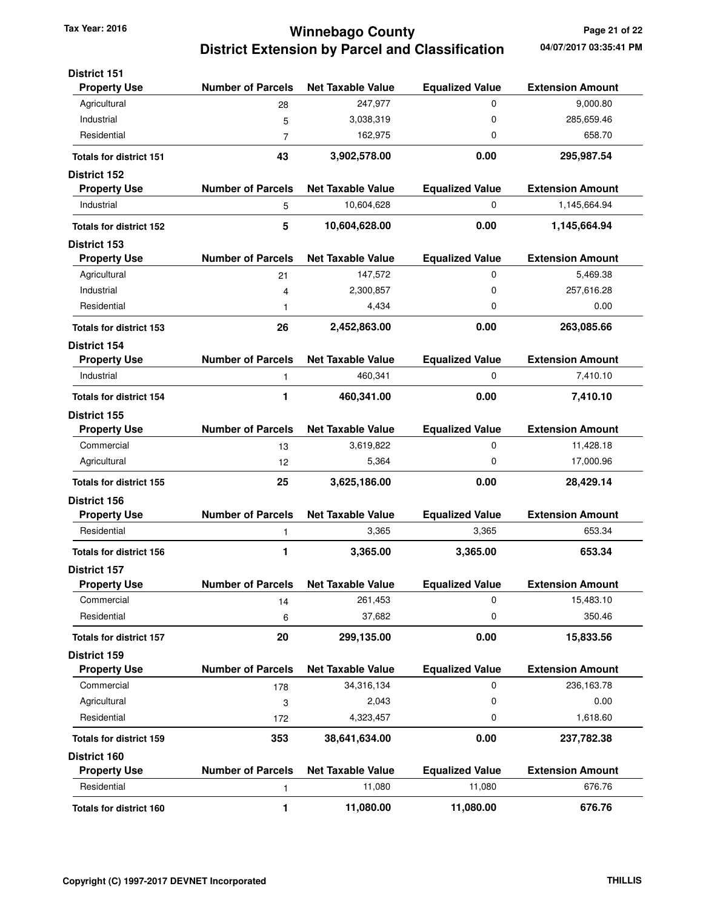# **Winnebago County Tax Year: 2016 Page 21 of 22 District Extension by Parcel and Classification**

| <b>District 151</b><br><b>Property Use</b> | <b>Number of Parcels</b> | <b>Net Taxable Value</b>           | <b>Equalized Value</b>           | <b>Extension Amount</b> |
|--------------------------------------------|--------------------------|------------------------------------|----------------------------------|-------------------------|
| Agricultural                               | 28                       | 247,977                            | 0                                | 9.000.80                |
| Industrial                                 | 5                        | 3,038,319                          | 0                                | 285,659.46              |
| Residential                                | 7                        | 162,975                            | 0                                | 658.70                  |
|                                            | 43                       |                                    | 0.00                             |                         |
| <b>Totals for district 151</b>             |                          | 3,902,578.00                       |                                  | 295,987.54              |
| <b>District 152</b><br><b>Property Use</b> | <b>Number of Parcels</b> | <b>Net Taxable Value</b>           | <b>Equalized Value</b>           | <b>Extension Amount</b> |
| Industrial                                 | 5                        | 10,604,628                         | 0                                | 1,145,664.94            |
| <b>Totals for district 152</b>             | 5                        | 10,604,628.00                      | 0.00                             | 1,145,664.94            |
| <b>District 153</b>                        |                          |                                    |                                  |                         |
| <b>Property Use</b>                        | <b>Number of Parcels</b> | <b>Net Taxable Value</b>           | <b>Equalized Value</b>           | <b>Extension Amount</b> |
| Agricultural                               | 21                       | 147,572                            | 0                                | 5,469.38                |
| Industrial                                 | 4                        | 2,300,857                          | 0                                | 257,616.28              |
| Residential                                | 1                        | 4,434                              | 0                                | 0.00                    |
| <b>Totals for district 153</b>             | 26                       | 2,452,863.00                       | 0.00                             | 263,085.66              |
| District 154                               |                          |                                    |                                  |                         |
| <b>Property Use</b>                        | <b>Number of Parcels</b> | <b>Net Taxable Value</b>           | <b>Equalized Value</b>           | <b>Extension Amount</b> |
| Industrial                                 | 1                        | 460,341                            | 0                                | 7,410.10                |
| <b>Totals for district 154</b>             | 1                        | 460,341.00                         | 0.00                             | 7,410.10                |
| District 155                               |                          |                                    |                                  |                         |
| <b>Property Use</b>                        | <b>Number of Parcels</b> | <b>Net Taxable Value</b>           | <b>Equalized Value</b>           | <b>Extension Amount</b> |
| Commercial                                 | 13                       | 3,619,822                          | 0                                | 11,428.18               |
| Agricultural                               | 12                       | 5,364                              | 0                                | 17,000.96               |
| <b>Totals for district 155</b>             | 25                       | 3,625,186.00                       | 0.00                             | 28,429.14               |
| District 156                               |                          |                                    |                                  |                         |
| <b>Property Use</b>                        | <b>Number of Parcels</b> | <b>Net Taxable Value</b>           | <b>Equalized Value</b>           | <b>Extension Amount</b> |
| Residential                                | 1                        | 3,365                              | 3,365                            | 653.34                  |
| <b>Totals for district 156</b>             | 1                        | 3,365.00                           | 3,365.00                         | 653.34                  |
| <b>District 157</b>                        |                          |                                    |                                  |                         |
| <b>Property Use</b>                        | <b>Number of Parcels</b> | <b>Net Taxable Value</b>           | <b>Equalized Value</b>           | <b>Extension Amount</b> |
| Commercial                                 | 14                       | 261,453                            | 0                                | 15,483.10               |
| Residential                                | 6                        | 37,682                             | 0                                | 350.46                  |
| <b>Totals for district 157</b>             | 20                       | 299,135.00                         | 0.00                             | 15,833.56               |
| District 159                               |                          |                                    |                                  |                         |
| <b>Property Use</b>                        | <b>Number of Parcels</b> | <b>Net Taxable Value</b>           | <b>Equalized Value</b>           | <b>Extension Amount</b> |
| Commercial                                 | 178                      | 34,316,134                         | 0                                | 236,163.78              |
| Agricultural                               | 3                        | 2,043                              | 0                                | 0.00                    |
| Residential                                | 172                      | 4,323,457                          | 0                                | 1,618.60                |
| <b>Totals for district 159</b>             | 353                      | 38,641,634.00                      | 0.00                             | 237,782.38              |
| District 160                               | <b>Number of Parcels</b> |                                    |                                  | <b>Extension Amount</b> |
| <b>Property Use</b><br>Residential         |                          | <b>Net Taxable Value</b><br>11,080 | <b>Equalized Value</b><br>11,080 | 676.76                  |
|                                            | 1                        |                                    |                                  |                         |
| <b>Totals for district 160</b>             | 1                        | 11,080.00                          | 11,080.00                        | 676.76                  |